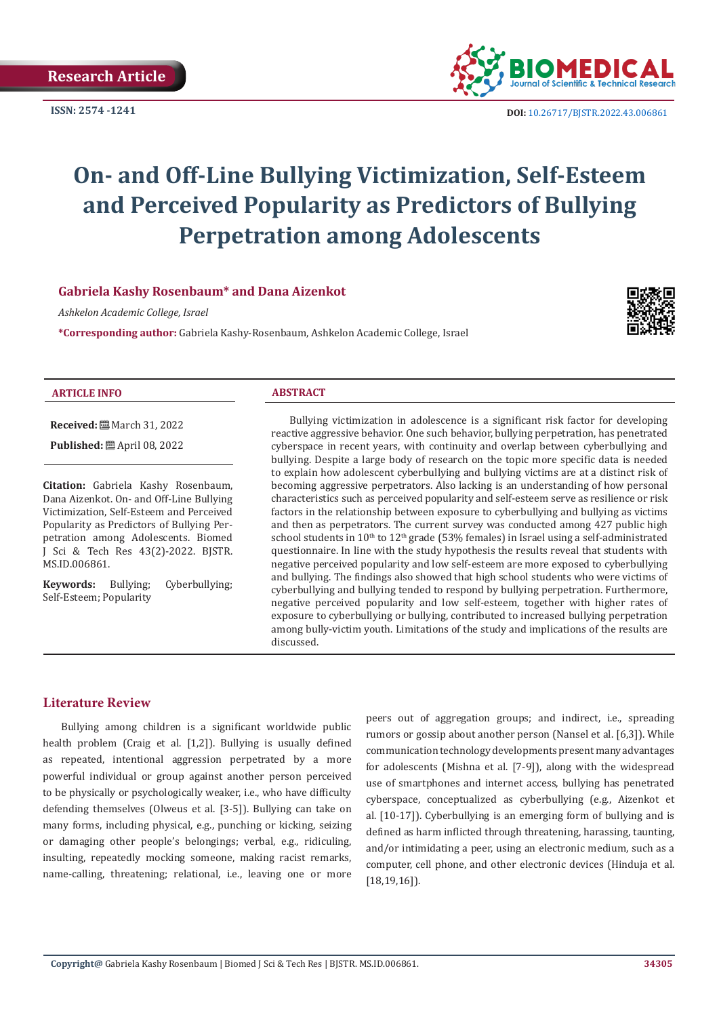

# **On- and Off-Line Bullying Victimization, Self-Esteem and Perceived Popularity as Predictors of Bullying Perpetration among Adolescents**

### **Gabriela Kashy Rosenbaum\* and Dana Aizenkot**

*Ashkelon Academic College, Israel*

**\*Corresponding author:** Gabriela Kashy-Rosenbaum, Ashkelon Academic College, Israel



#### **ARTICLE INFO ABSTRACT**

**Received:** March 31, 2022

**Published:** ■ April 08, 2022

**Citation:** Gabriela Kashy Rosenbaum, Dana Aizenkot. On- and Off-Line Bullying Victimization, Self-Esteem and Perceived Popularity as Predictors of Bullying Perpetration among Adolescents. Biomed J Sci & Tech Res 43(2)-2022. BJSTR. MS.ID.006861.

**Keywords:** Bullying; Cyberbullying; Self-Esteem; Popularity

Bullying victimization in adolescence is a significant risk factor for developing reactive aggressive behavior. One such behavior, bullying perpetration, has penetrated cyberspace in recent years, with continuity and overlap between cyberbullying and bullying. Despite a large body of research on the topic more specific data is needed to explain how adolescent cyberbullying and bullying victims are at a distinct risk of becoming aggressive perpetrators. Also lacking is an understanding of how personal characteristics such as perceived popularity and self-esteem serve as resilience or risk factors in the relationship between exposure to cyberbullying and bullying as victims and then as perpetrators. The current survey was conducted among 427 public high school students in  $10^{th}$  to  $12^{th}$  grade (53% females) in Israel using a self-administrated questionnaire. In line with the study hypothesis the results reveal that students with negative perceived popularity and low self-esteem are more exposed to cyberbullying and bullying. The findings also showed that high school students who were victims of cyberbullying and bullying tended to respond by bullying perpetration. Furthermore, negative perceived popularity and low self-esteem, together with higher rates of exposure to cyberbullying or bullying, contributed to increased bullying perpetration among bully-victim youth. Limitations of the study and implications of the results are discussed.

### **Literature Review**

Bullying among children is a significant worldwide public health problem (Craig et al. [1,2]). Bullying is usually defined as repeated, intentional aggression perpetrated by a more powerful individual or group against another person perceived to be physically or psychologically weaker, i.e., who have difficulty defending themselves (Olweus et al. [3-5]). Bullying can take on many forms, including physical, e.g., punching or kicking, seizing or damaging other people's belongings; verbal, e.g., ridiculing, insulting, repeatedly mocking someone, making racist remarks, name-calling, threatening; relational, i.e., leaving one or more

peers out of aggregation groups; and indirect, i.e., spreading rumors or gossip about another person (Nansel et al. [6,3]). While communication technology developments present many advantages for adolescents (Mishna et al. [7-9]), along with the widespread use of smartphones and internet access, bullying has penetrated cyberspace, conceptualized as cyberbullying (e.g., Aizenkot et al. [10-17]). Cyberbullying is an emerging form of bullying and is defined as harm inflicted through threatening, harassing, taunting, and/or intimidating a peer, using an electronic medium, such as a computer, cell phone, and other electronic devices (Hinduja et al. [18,19,16]).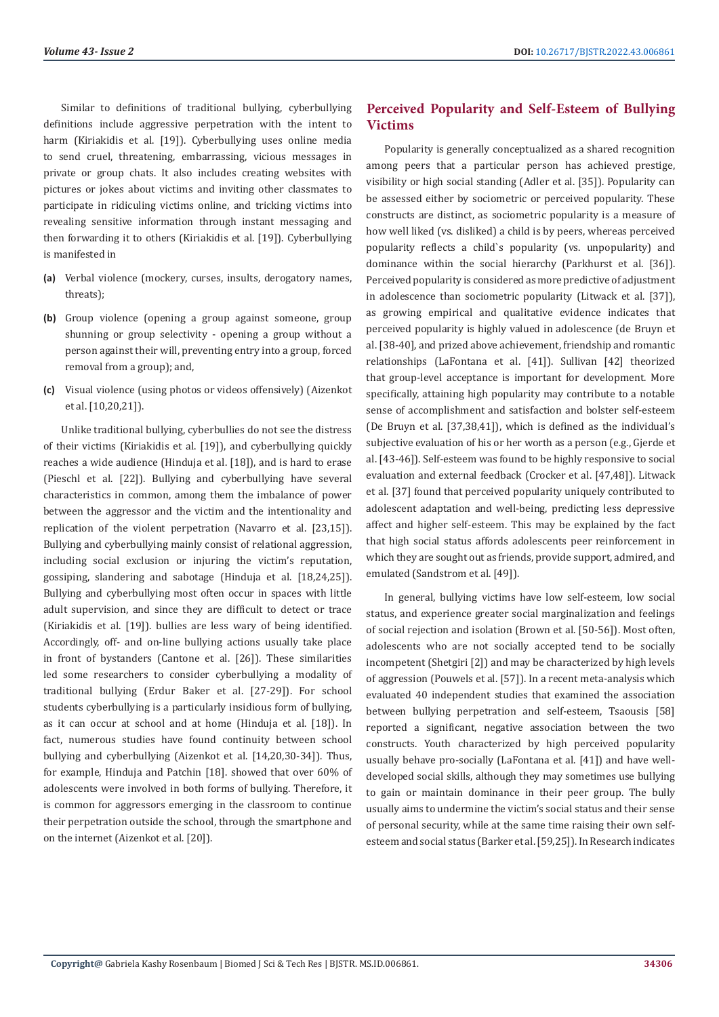Similar to definitions of traditional bullying, cyberbullying definitions include aggressive perpetration with the intent to harm (Kiriakidis et al. [19]). Cyberbullying uses online media to send cruel, threatening, embarrassing, vicious messages in private or group chats. It also includes creating websites with pictures or jokes about victims and inviting other classmates to participate in ridiculing victims online, and tricking victims into revealing sensitive information through instant messaging and then forwarding it to others (Kiriakidis et al. [19]). Cyberbullying is manifested in

- **(a)** Verbal violence (mockery, curses, insults, derogatory names, threats);
- **(b)** Group violence (opening a group against someone, group shunning or group selectivity - opening a group without a person against their will, preventing entry into a group, forced removal from a group); and,
- **(c)** Visual violence (using photos or videos offensively) (Aizenkot et al. [10,20,21]).

Unlike traditional bullying, cyberbullies do not see the distress of their victims (Kiriakidis et al. [19]), and cyberbullying quickly reaches a wide audience (Hinduja et al. [18]), and is hard to erase (Pieschl et al. [22]). Bullying and cyberbullying have several characteristics in common, among them the imbalance of power between the aggressor and the victim and the intentionality and replication of the violent perpetration (Navarro et al. [23,15]). Bullying and cyberbullying mainly consist of relational aggression, including social exclusion or injuring the victim's reputation, gossiping, slandering and sabotage (Hinduja et al. [18,24,25]). Bullying and cyberbullying most often occur in spaces with little adult supervision, and since they are difficult to detect or trace (Kiriakidis et al. [19]). bullies are less wary of being identified. Accordingly, off- and on-line bullying actions usually take place in front of bystanders (Cantone et al. [26]). These similarities led some researchers to consider cyberbullying a modality of traditional bullying (Erdur Baker et al. [27-29]). For school students cyberbullying is a particularly insidious form of bullying, as it can occur at school and at home (Hinduja et al. [18]). In fact, numerous studies have found continuity between school bullying and cyberbullying (Aizenkot et al. [14,20,30-34]). Thus, for example, Hinduja and Patchin [18]. showed that over 60% of adolescents were involved in both forms of bullying. Therefore, it is common for aggressors emerging in the classroom to continue their perpetration outside the school, through the smartphone and on the internet (Aizenkot et al. [20]).

# **Perceived Popularity and Self-Esteem of Bullying Victims**

Popularity is generally conceptualized as a shared recognition among peers that a particular person has achieved prestige, visibility or high social standing (Adler et al. [35]). Popularity can be assessed either by sociometric or perceived popularity. These constructs are distinct, as sociometric popularity is a measure of how well liked (vs. disliked) a child is by peers, whereas perceived popularity reflects a child`s popularity (vs. unpopularity) and dominance within the social hierarchy (Parkhurst et al. [36]). Perceived popularity is considered as more predictive of adjustment in adolescence than sociometric popularity (Litwack et al. [37]), as growing empirical and qualitative evidence indicates that perceived popularity is highly valued in adolescence (de Bruyn et al. [38-40], and prized above achievement, friendship and romantic relationships (LaFontana et al. [41]). Sullivan [42] theorized that group-level acceptance is important for development. More specifically, attaining high popularity may contribute to a notable sense of accomplishment and satisfaction and bolster self-esteem (De Bruyn et al. [37,38,41]), which is defined as the individual's subjective evaluation of his or her worth as a person (e.g., Gjerde et al. [43-46]). Self-esteem was found to be highly responsive to social evaluation and external feedback (Crocker et al. [47,48]). Litwack et al. [37] found that perceived popularity uniquely contributed to adolescent adaptation and well-being, predicting less depressive affect and higher self-esteem. This may be explained by the fact that high social status affords adolescents peer reinforcement in which they are sought out as friends, provide support, admired, and emulated (Sandstrom et al. [49]).

In general, bullying victims have low self-esteem, low social status, and experience greater social marginalization and feelings of social rejection and isolation (Brown et al. [50-56]). Most often, adolescents who are not socially accepted tend to be socially incompetent (Shetgiri [2]) and may be characterized by high levels of aggression (Pouwels et al. [57]). In a recent meta-analysis which evaluated 40 independent studies that examined the association between bullying perpetration and self-esteem, Tsaousis [58] reported a significant, negative association between the two constructs. Youth characterized by high perceived popularity usually behave pro-socially (LaFontana et al. [41]) and have welldeveloped social skills, although they may sometimes use bullying to gain or maintain dominance in their peer group. The bully usually aims to undermine the victim's social status and their sense of personal security, while at the same time raising their own selfesteem and social status (Barker et al. [59,25]). In Research indicates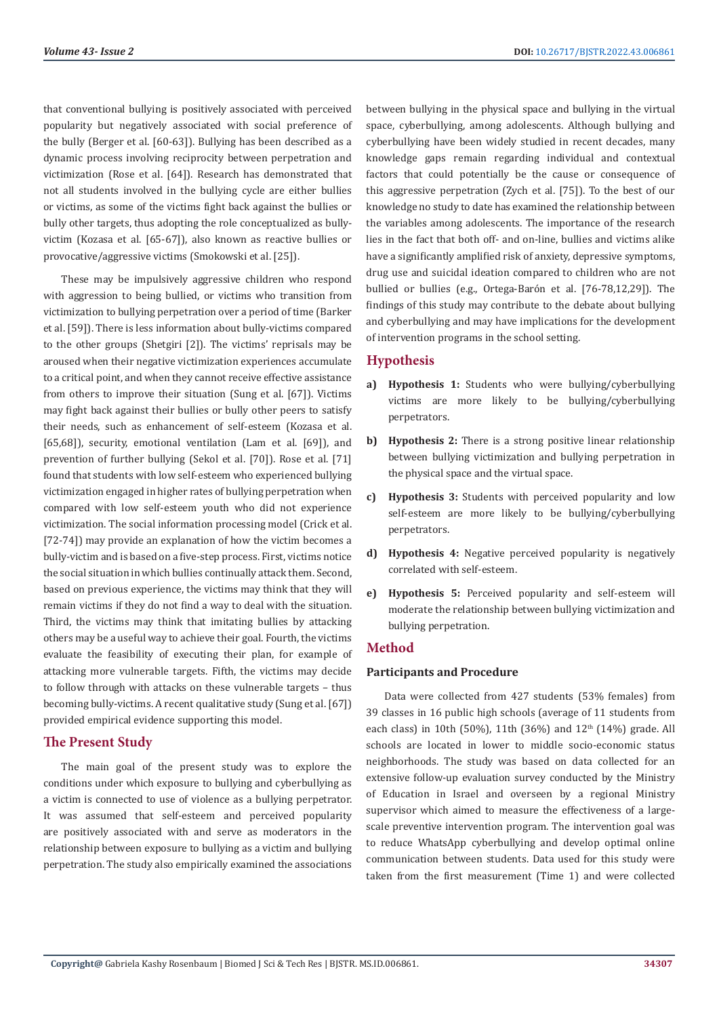that conventional bullying is positively associated with perceived popularity but negatively associated with social preference of the bully (Berger et al. [60-63]). Bullying has been described as a dynamic process involving reciprocity between perpetration and victimization (Rose et al. [64]). Research has demonstrated that not all students involved in the bullying cycle are either bullies or victims, as some of the victims fight back against the bullies or bully other targets, thus adopting the role conceptualized as bullyvictim (Kozasa et al. [65-67]), also known as reactive bullies or provocative/aggressive victims (Smokowski et al. [25]).

These may be impulsively aggressive children who respond with aggression to being bullied, or victims who transition from victimization to bullying perpetration over a period of time (Barker et al. [59]). There is less information about bully-victims compared to the other groups (Shetgiri [2]). The victims' reprisals may be aroused when their negative victimization experiences accumulate to a critical point, and when they cannot receive effective assistance from others to improve their situation (Sung et al. [67]). Victims may fight back against their bullies or bully other peers to satisfy their needs, such as enhancement of self-esteem (Kozasa et al. [65,68]), security, emotional ventilation (Lam et al. [69]), and prevention of further bullying (Sekol et al. [70]). Rose et al. [71] found that students with low self-esteem who experienced bullying victimization engaged in higher rates of bullying perpetration when compared with low self-esteem youth who did not experience victimization. The social information processing model (Crick et al. [72-74]) may provide an explanation of how the victim becomes a bully-victim and is based on a five-step process. First, victims notice the social situation in which bullies continually attack them. Second, based on previous experience, the victims may think that they will remain victims if they do not find a way to deal with the situation. Third, the victims may think that imitating bullies by attacking others may be a useful way to achieve their goal. Fourth, the victims evaluate the feasibility of executing their plan, for example of attacking more vulnerable targets. Fifth, the victims may decide to follow through with attacks on these vulnerable targets – thus becoming bully-victims. A recent qualitative study (Sung et al. [67]) provided empirical evidence supporting this model.

# **The Present Study**

The main goal of the present study was to explore the conditions under which exposure to bullying and cyberbullying as a victim is connected to use of violence as a bullying perpetrator. It was assumed that self-esteem and perceived popularity are positively associated with and serve as moderators in the relationship between exposure to bullying as a victim and bullying perpetration. The study also empirically examined the associations between bullying in the physical space and bullying in the virtual space, cyberbullying, among adolescents. Although bullying and cyberbullying have been widely studied in recent decades, many knowledge gaps remain regarding individual and contextual factors that could potentially be the cause or consequence of this aggressive perpetration (Zych et al. [75]). To the best of our knowledge no study to date has examined the relationship between the variables among adolescents. The importance of the research lies in the fact that both off- and on-line, bullies and victims alike have a significantly amplified risk of anxiety, depressive symptoms, drug use and suicidal ideation compared to children who are not bullied or bullies (e.g., Ortega-Barón et al. [76-78,12,29]). The findings of this study may contribute to the debate about bullying and cyberbullying and may have implications for the development of intervention programs in the school setting.

# **Hypothesis**

- **a) Hypothesis 1:** Students who were bullying/cyberbullying victims are more likely to be bullying/cyberbullying perpetrators.
- **b) Hypothesis 2:** There is a strong positive linear relationship between bullying victimization and bullying perpetration in the physical space and the virtual space.
- **c) Hypothesis 3:** Students with perceived popularity and low self-esteem are more likely to be bullying/cyberbullying perpetrators.
- **d) Hypothesis 4:** Negative perceived popularity is negatively correlated with self-esteem.
- **e) Hypothesis 5:** Perceived popularity and self-esteem will moderate the relationship between bullying victimization and bullying perpetration.

# **Method**

# **Participants and Procedure**

Data were collected from 427 students (53% females) from 39 classes in 16 public high schools (average of 11 students from each class) in 10th (50%), 11th (36%) and  $12<sup>th</sup>$  (14%) grade. All schools are located in lower to middle socio-economic status neighborhoods. The study was based on data collected for an extensive follow-up evaluation survey conducted by the Ministry of Education in Israel and overseen by a regional Ministry supervisor which aimed to measure the effectiveness of a largescale preventive intervention program. The intervention goal was to reduce WhatsApp cyberbullying and develop optimal online communication between students. Data used for this study were taken from the first measurement (Time 1) and were collected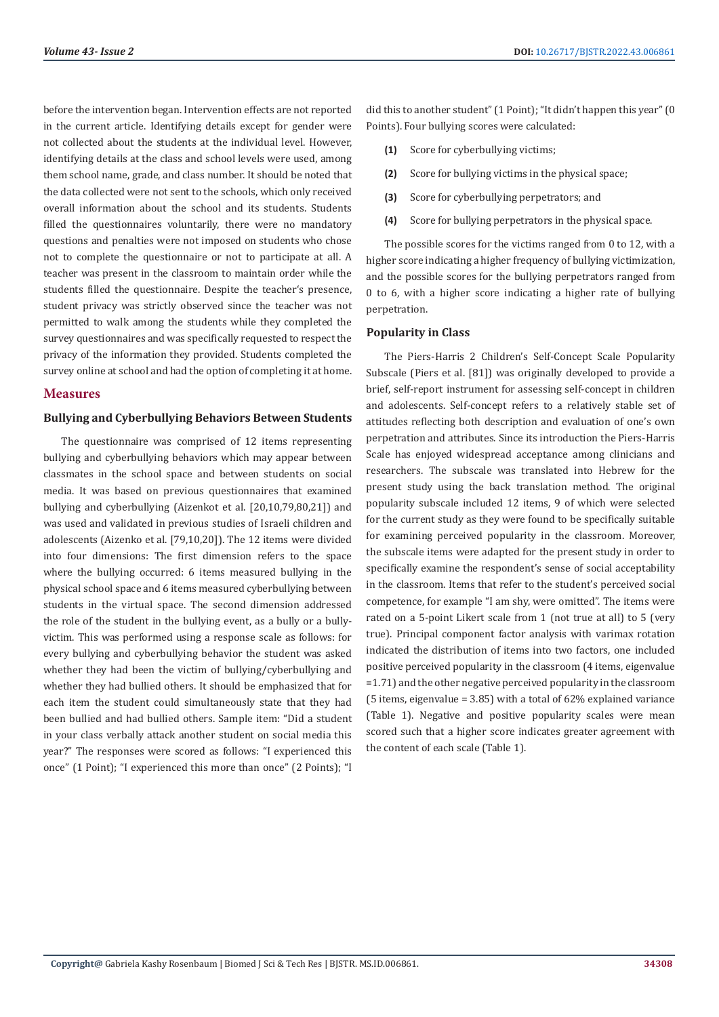before the intervention began. Intervention effects are not reported in the current article. Identifying details except for gender were not collected about the students at the individual level. However, identifying details at the class and school levels were used, among them school name, grade, and class number. It should be noted that the data collected were not sent to the schools, which only received overall information about the school and its students. Students filled the questionnaires voluntarily, there were no mandatory questions and penalties were not imposed on students who chose not to complete the questionnaire or not to participate at all. A teacher was present in the classroom to maintain order while the students filled the questionnaire. Despite the teacher's presence, student privacy was strictly observed since the teacher was not permitted to walk among the students while they completed the survey questionnaires and was specifically requested to respect the privacy of the information they provided. Students completed the survey online at school and had the option of completing it at home.

# **Measures**

#### **Bullying and Cyberbullying Behaviors Between Students**

The questionnaire was comprised of 12 items representing bullying and cyberbullying behaviors which may appear between classmates in the school space and between students on social media. It was based on previous questionnaires that examined bullying and cyberbullying (Aizenkot et al. [20,10,79,80,21]) and was used and validated in previous studies of Israeli children and adolescents (Aizenko et al. [79,10,20]). The 12 items were divided into four dimensions: The first dimension refers to the space where the bullying occurred: 6 items measured bullying in the physical school space and 6 items measured cyberbullying between students in the virtual space. The second dimension addressed the role of the student in the bullying event, as a bully or a bullyvictim. This was performed using a response scale as follows: for every bullying and cyberbullying behavior the student was asked whether they had been the victim of bullying/cyberbullying and whether they had bullied others. It should be emphasized that for each item the student could simultaneously state that they had been bullied and had bullied others. Sample item: "Did a student in your class verbally attack another student on social media this year?" The responses were scored as follows: "I experienced this once" (1 Point); "I experienced this more than once" (2 Points); "I

did this to another student" (1 Point); "It didn't happen this year" (0 Points). Four bullying scores were calculated:

- **(1)** Score for cyberbullying victims;
- **(2)** Score for bullying victims in the physical space;
- **(3)** Score for cyberbullying perpetrators; and
- **(4)** Score for bullying perpetrators in the physical space.

The possible scores for the victims ranged from 0 to 12, with a higher score indicating a higher frequency of bullying victimization, and the possible scores for the bullying perpetrators ranged from 0 to 6, with a higher score indicating a higher rate of bullying perpetration.

#### **Popularity in Class**

The Piers-Harris 2 Children's Self-Concept Scale Popularity Subscale (Piers et al. [81]) was originally developed to provide a brief, self-report instrument for assessing self-concept in children and adolescents. Self-concept refers to a relatively stable set of attitudes reflecting both description and evaluation of one's own perpetration and attributes. Since its introduction the Piers-Harris Scale has enjoyed widespread acceptance among clinicians and researchers. The subscale was translated into Hebrew for the present study using the back translation method. The original popularity subscale included 12 items, 9 of which were selected for the current study as they were found to be specifically suitable for examining perceived popularity in the classroom. Moreover, the subscale items were adapted for the present study in order to specifically examine the respondent's sense of social acceptability in the classroom. Items that refer to the student's perceived social competence, for example "I am shy, were omitted". The items were rated on a 5-point Likert scale from 1 (not true at all) to 5 (very true). Principal component factor analysis with varimax rotation indicated the distribution of items into two factors, one included positive perceived popularity in the classroom (4 items, eigenvalue =1.71) and the other negative perceived popularity in the classroom (5 items, eigenvalue = 3.85) with a total of 62% explained variance (Table 1). Negative and positive popularity scales were mean scored such that a higher score indicates greater agreement with the content of each scale (Table 1).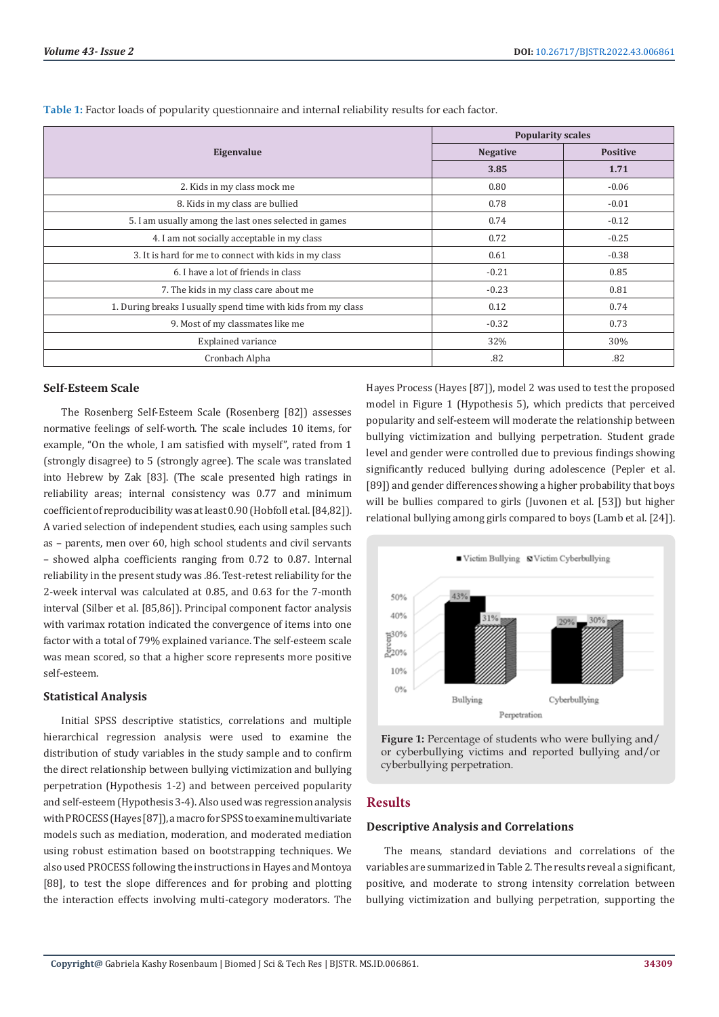|                                                               | <b>Popularity scales</b> |                 |  |  |
|---------------------------------------------------------------|--------------------------|-----------------|--|--|
| Eigenvalue                                                    | <b>Negative</b>          | <b>Positive</b> |  |  |
|                                                               | 3.85                     | 1.71            |  |  |
| 2. Kids in my class mock me                                   | 0.80                     | $-0.06$         |  |  |
| 8. Kids in my class are bullied                               | 0.78                     | $-0.01$         |  |  |
| 5. I am usually among the last ones selected in games         | 0.74                     | $-0.12$         |  |  |
| 4. I am not socially acceptable in my class                   | 0.72                     | $-0.25$         |  |  |
| 3. It is hard for me to connect with kids in my class         | 0.61                     | $-0.38$         |  |  |
| 6. I have a lot of friends in class                           | $-0.21$                  | 0.85            |  |  |
| 7. The kids in my class care about me                         | $-0.23$                  | 0.81            |  |  |
| 1. During breaks I usually spend time with kids from my class | 0.12                     | 0.74            |  |  |
| 9. Most of my classmates like me                              | $-0.32$                  | 0.73            |  |  |
| <b>Explained variance</b>                                     | 32%                      | 30%             |  |  |
| Cronbach Alpha                                                | .82                      | .82             |  |  |

**Table 1:** Factor loads of popularity questionnaire and internal reliability results for each factor.

### **Self-Esteem Scale**

The Rosenberg Self-Esteem Scale (Rosenberg [82]) assesses normative feelings of self-worth. The scale includes 10 items, for example, "On the whole, I am satisfied with myself", rated from 1 (strongly disagree) to 5 (strongly agree). The scale was translated into Hebrew by Zak [83]. (The scale presented high ratings in reliability areas; internal consistency was 0.77 and minimum coefficient of reproducibility was at least 0.90 (Hobfoll et al. [84,82]). A varied selection of independent studies, each using samples such as – parents, men over 60, high school students and civil servants – showed alpha coefficients ranging from 0.72 to 0.87. Internal reliability in the present study was .86. Test-retest reliability for the 2-week interval was calculated at 0.85, and 0.63 for the 7-month interval (Silber et al. [85,86]). Principal component factor analysis with varimax rotation indicated the convergence of items into one factor with a total of 79% explained variance. The self-esteem scale was mean scored, so that a higher score represents more positive self-esteem.

### **Statistical Analysis**

Initial SPSS descriptive statistics, correlations and multiple hierarchical regression analysis were used to examine the distribution of study variables in the study sample and to confirm the direct relationship between bullying victimization and bullying perpetration (Hypothesis 1-2) and between perceived popularity and self-esteem (Hypothesis 3-4). Also used was regression analysis with PROCESS(Hayes [87]), a macro for SPSS to examine multivariate models such as mediation, moderation, and moderated mediation using robust estimation based on bootstrapping techniques. We also used PROCESS following the instructions in Hayes and Montoya [88], to test the slope differences and for probing and plotting the interaction effects involving multi-category moderators. The

Hayes Process (Hayes [87]), model 2 was used to test the proposed model in Figure 1 (Hypothesis 5), which predicts that perceived popularity and self-esteem will moderate the relationship between bullying victimization and bullying perpetration. Student grade level and gender were controlled due to previous findings showing significantly reduced bullying during adolescence (Pepler et al. [89]) and gender differences showing a higher probability that boys will be bullies compared to girls (Juvonen et al. [53]) but higher relational bullying among girls compared to boys (Lamb et al. [24]).



**Figure 1:** Percentage of students who were bullying and/ or cyberbullying victims and reported bullying and/or cyberbullying perpetration.

# **Results**

# **Descriptive Analysis and Correlations**

The means, standard deviations and correlations of the variables are summarized in Table 2. The results reveal a significant, positive, and moderate to strong intensity correlation between bullying victimization and bullying perpetration, supporting the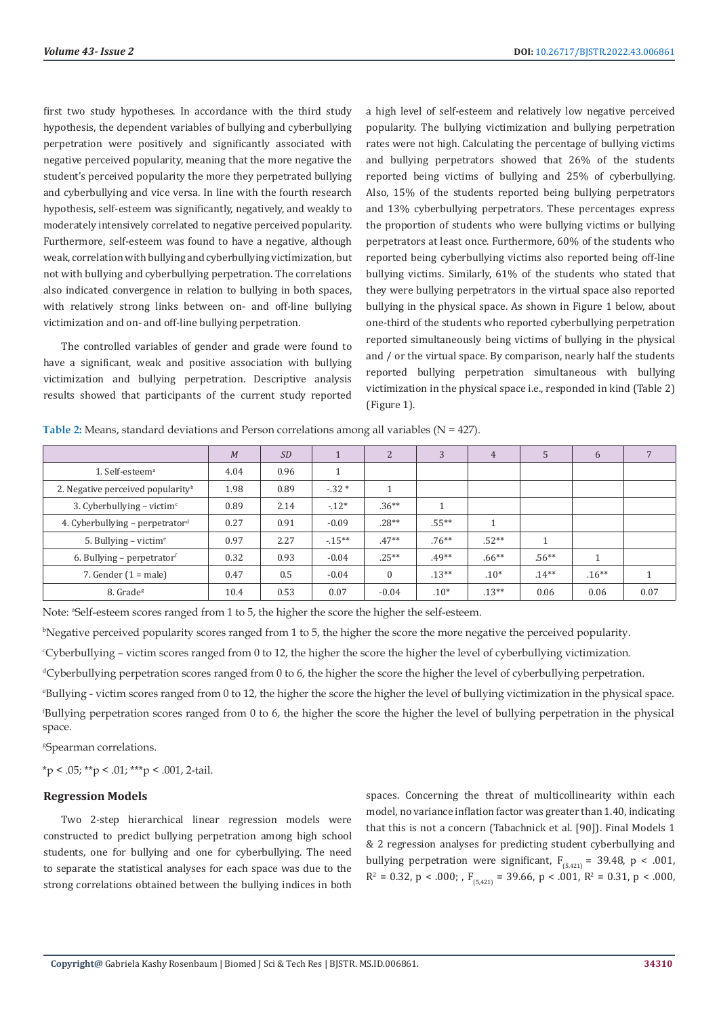first two study hypotheses. In accordance with the third study hypothesis, the dependent variables of bullying and cyberbullying perpetration were positively and significantly associated with negative perceived popularity, meaning that the more negative the student's perceived popularity the more they perpetrated bullying and cyberbullying and vice versa. In line with the fourth research hypothesis, self-esteem was significantly, negatively, and weakly to moderately intensively correlated to negative perceived popularity. Furthermore, self-esteem was found to have a negative, although weak, correlation with bullying and cyberbullying victimization, but not with bullying and cyberbullying perpetration. The correlations also indicated convergence in relation to bullying in both spaces, with relatively strong links between on- and off-line bullying victimization and on- and off-line bullying perpetration.

The controlled variables of gender and grade were found to have a significant, weak and positive association with bullying victimization and bullying perpetration. Descriptive analysis results showed that participants of the current study reported

a high level of self-esteem and relatively low negative perceived popularity. The bullying victimization and bullying perpetration rates were not high. Calculating the percentage of bullying victims and bullying perpetrators showed that 26% of the students reported being victims of bullying and 25% of cyberbullying. Also, 15% of the students reported being bullying perpetrators and 13% cyberbullying perpetrators. These percentages express the proportion of students who were bullying victims or bullying perpetrators at least once. Furthermore, 60% of the students who reported being cyberbullying victims also reported being off-line bullying victims. Similarly, 61% of the students who stated that they were bullying perpetrators in the virtual space also reported bullying in the physical space. As shown in Figure 1 below, about one-third of the students who reported cyberbullying perpetration reported simultaneously being victims of bullying in the physical and / or the virtual space. By comparison, nearly half the students reported bullying perpetration simultaneous with bullying victimization in the physical space i.e., responded in kind (Table 2) (Figure 1).

|                                               | M    | <b>SD</b> |         | $\overline{2}$ | 3        | $\overline{4}$ | 5        | 6        |      |
|-----------------------------------------------|------|-----------|---------|----------------|----------|----------------|----------|----------|------|
| 1. Self-esteem <sup>a</sup>                   | 4.04 | 0.96      |         |                |          |                |          |          |      |
| 2. Negative perceived popularity <sup>b</sup> | 1.98 | 0.89      | $-32*$  |                |          |                |          |          |      |
| 3. Cyberbullying – victim $\epsilon$          | 0.89 | 2.14      | $-12*$  | $.36***$       |          |                |          |          |      |
| 4. Cyberbullying – perpetrator <sup>d</sup>   | 0.27 | 0.91      | $-0.09$ | $.28**$        | $.55***$ |                |          |          |      |
| 5. Bullying – victim <sup>e</sup>             | 0.97 | 2.27      | $-15**$ | $.47**$        | $.76***$ | $.52**$        | 1        |          |      |
| 6. Bullying – perpetrator                     | 0.32 | 0.93      | $-0.04$ | $.25**$        | $.49**$  | $.66***$       | $.56***$ |          |      |
| 7. Gender $(1 = male)$                        | 0.47 | 0.5       | $-0.04$ | $\Omega$       | $.13**$  | $.10*$         | $.14***$ | $.16***$ |      |
| 8. Grade <sup>g</sup>                         | 10.4 | 0.53      | 0.07    | $-0.04$        | $.10*$   | $.13**$        | 0.06     | 0.06     | 0.07 |

**Table 2:** Means, standard deviations and Person correlations among all variables (N = 427).

Note: <sup>a</sup>Self-esteem scores ranged from 1 to 5, the higher the score the higher the self-esteem.

b Negative perceived popularity scores ranged from 1 to 5, the higher the score the more negative the perceived popularity.

c Cyberbullying – victim scores ranged from 0 to 12, the higher the score the higher the level of cyberbullying victimization.

dCyberbullying perpetration scores ranged from 0 to 6, the higher the score the higher the level of cyberbullying perpetration.

e Bullying - victim scores ranged from 0 to 12, the higher the score the higher the level of bullying victimization in the physical space. f Bullying perpetration scores ranged from 0 to 6, the higher the score the higher the level of bullying perpetration in the physical space.

g Spearman correlations.

 $*<sub>p</sub> < .05; **<sub>p</sub> < .01; **<sub>p</sub> < .001, 2-tail.$ 

#### **Regression Models**

Two 2-step hierarchical linear regression models were constructed to predict bullying perpetration among high school students, one for bullying and one for cyberbullying. The need to separate the statistical analyses for each space was due to the strong correlations obtained between the bullying indices in both

spaces. Concerning the threat of multicollinearity within each model, no variance inflation factor was greater than 1.40, indicating that this is not a concern (Tabachnick et al. [90]). Final Models 1 & 2 regression analyses for predicting student cyberbullying and bullying perpetration were significant,  $F_{(5,421)} = 39.48$ , p < .001,  $R^2 = 0.32$ ,  $p < .000$ ; ,  $F_{(5,421)} = 39.66$ ,  $p < .001$ ,  $R^2 = 0.31$ ,  $p < .000$ ,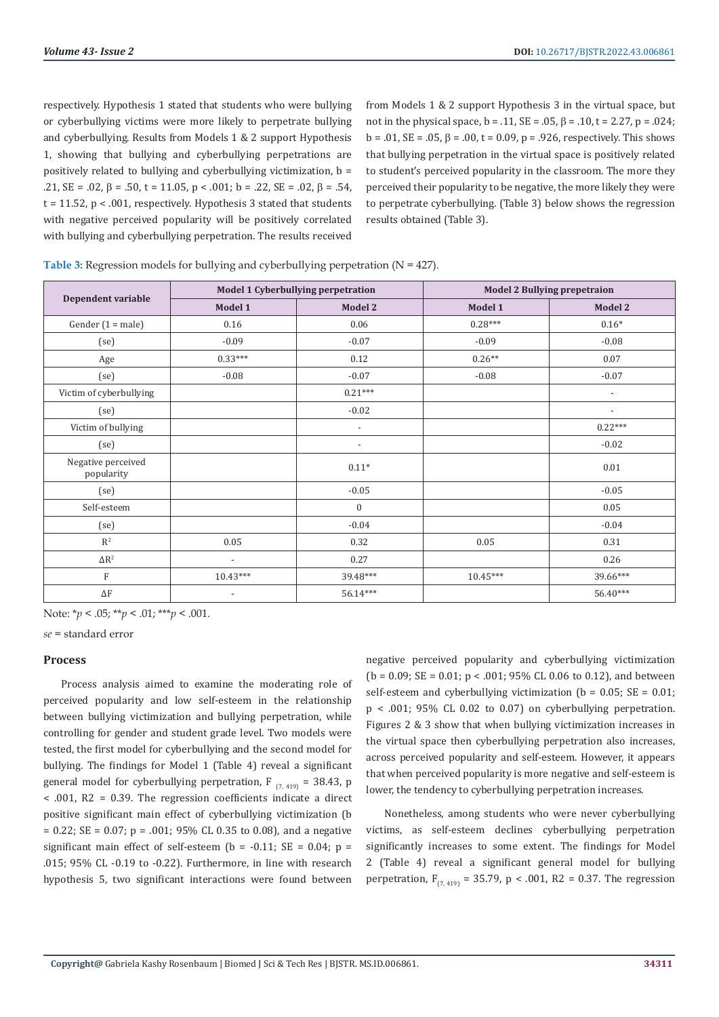respectively. Hypothesis 1 stated that students who were bullying or cyberbullying victims were more likely to perpetrate bullying and cyberbullying. Results from Models 1 & 2 support Hypothesis 1, showing that bullying and cyberbullying perpetrations are positively related to bullying and cyberbullying victimization,  $b =$  $.21$ , SE =  $.02$ ,  $\beta$  =  $.50$ ,  $t$  =  $11.05$ ,  $p$  <  $.001$ ;  $b$  =  $.22$ , SE =  $.02$ ,  $\beta$  =  $.54$ .  $t = 11.52$ ,  $p < .001$ , respectively. Hypothesis 3 stated that students with negative perceived popularity will be positively correlated with bullying and cyberbullying perpetration. The results received

from Models 1 & 2 support Hypothesis 3 in the virtual space, but not in the physical space,  $b = .11$ ,  $SE = .05$ ,  $B = .10$ ,  $t = 2.27$ ,  $p = .024$ ; b = .01, SE = .05,  $\beta$  = .00, t = 0.09, p = .926, respectively. This shows that bullying perpetration in the virtual space is positively related to student's perceived popularity in the classroom. The more they perceived their popularity to be negative, the more likely they were to perpetrate cyberbullying. (Table 3) below shows the regression results obtained (Table 3).

|                                  | Model 1 Cyberbullying perpetration |                          | <b>Model 2 Bullying prepetraion</b> |                          |  |
|----------------------------------|------------------------------------|--------------------------|-------------------------------------|--------------------------|--|
| Dependent variable               | Model 1                            | Model 2                  | Model 1                             | <b>Model 2</b>           |  |
| Gender $(1 = male)$              | 0.16                               | 0.06                     | $0.28***$                           | $0.16*$                  |  |
| (se)                             | $-0.09$                            | $-0.07$                  | $-0.09$                             | $-0.08$                  |  |
| Age                              | $0.33***$                          | 0.12                     | $0.26**$                            | 0.07                     |  |
| (se)                             | $-0.08$                            | $-0.07$                  | $-0.08$                             | $-0.07$                  |  |
| Victim of cyberbullying          |                                    | $0.21***$                |                                     | $\overline{\phantom{a}}$ |  |
| (se)                             |                                    | $-0.02$                  |                                     | $\overline{\phantom{a}}$ |  |
| Victim of bullying               |                                    | $\overline{\phantom{a}}$ |                                     | $0.22***$                |  |
| (se)                             |                                    | $\overline{\phantom{a}}$ |                                     | $-0.02$                  |  |
| Negative perceived<br>popularity |                                    | $0.11*$                  |                                     | 0.01                     |  |
| (se)                             |                                    | $-0.05$                  |                                     | $-0.05$                  |  |
| Self-esteem                      |                                    | $\mathbf{0}$             |                                     | 0.05                     |  |
| (se)                             |                                    | $-0.04$                  |                                     | $-0.04$                  |  |
| $R^2$                            | 0.05                               | 0.32                     | 0.05                                | 0.31                     |  |
| $\Delta R^2$                     | $\overline{\phantom{a}}$           | 0.27                     |                                     | 0.26                     |  |
| F                                | $10.43***$                         | 39.48***                 | $10.45***$                          | 39.66***                 |  |
| $\Delta F$                       | $\overline{\phantom{a}}$           | $56.14***$               |                                     | $56.40***$               |  |

| Table 3: Regression models for bullying and cyberbullying perpetration ( $N = 427$ ). |  |  |  |
|---------------------------------------------------------------------------------------|--|--|--|
|                                                                                       |  |  |  |

Note: \**p* < .05; \*\**p* < .01; \*\*\**p* < .001.

*se* = standard error

#### **Process**

Process analysis aimed to examine the moderating role of perceived popularity and low self-esteem in the relationship between bullying victimization and bullying perpetration, while controlling for gender and student grade level. Two models were tested, the first model for cyberbullying and the second model for bullying. The findings for Model 1 (Table 4) reveal a significant general model for cyberbullying perpetration, F<sub>(7,419)</sub> = 38.43, p < .001, R2 = 0.39. The regression coefficients indicate a direct positive significant main effect of cyberbullying victimization (b  $= 0.22$ ; SE = 0.07; p = .001; 95% CL 0.35 to 0.08), and a negative significant main effect of self-esteem (b =  $-0.11$ ; SE = 0.04; p = .015; 95% CL -0.19 to -0.22). Furthermore, in line with research hypothesis 5, two significant interactions were found between

negative perceived popularity and cyberbullying victimization  $(b = 0.09; SE = 0.01; p < .001; 95\% CL 0.06$  to 0.12), and between self-esteem and cyberbullying victimization  $(b = 0.05; SE = 0.01;$  $p < .001$ : 95% CL 0.02 to 0.07) on cyberbullying perpetration. Figures 2 & 3 show that when bullying victimization increases in the virtual space then cyberbullying perpetration also increases, across perceived popularity and self-esteem. However, it appears that when perceived popularity is more negative and self-esteem is lower, the tendency to cyberbullying perpetration increases.

Nonetheless, among students who were never cyberbullying victims, as self-esteem declines cyberbullying perpetration significantly increases to some extent. The findings for Model 2 (Table 4) reveal a significant general model for bullying perpetration,  $F_{(7, 419)} = 35.79$ , p < .001, R2 = 0.37. The regression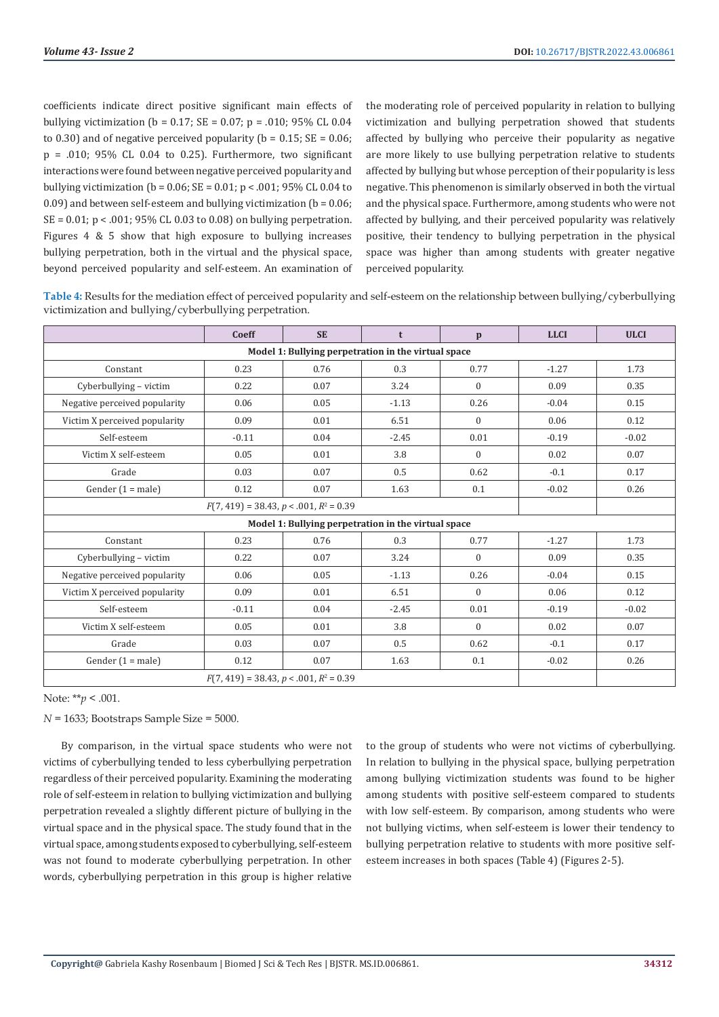coefficients indicate direct positive significant main effects of bullying victimization ( $b = 0.17$ ; SE = 0.07; p = .010; 95% CL 0.04 to 0.30) and of negative perceived popularity ( $b = 0.15$ ; SE = 0.06;  $p = .010$ ; 95% CL 0.04 to 0.25). Furthermore, two significant interactions were found between negative perceived popularity and bullying victimization ( $b = 0.06$ ; SE = 0.01;  $p < .001$ ; 95% CL 0.04 to 0.09) and between self-esteem and bullying victimization ( $b = 0.06$ ;  $SE = 0.01$ ;  $p < .001$ ; 95% CL 0.03 to 0.08) on bullying perpetration. Figures 4 & 5 show that high exposure to bullying increases bullying perpetration, both in the virtual and the physical space, beyond perceived popularity and self-esteem. An examination of the moderating role of perceived popularity in relation to bullying victimization and bullying perpetration showed that students affected by bullying who perceive their popularity as negative are more likely to use bullying perpetration relative to students affected by bullying but whose perception of their popularity is less negative. This phenomenon is similarly observed in both the virtual and the physical space. Furthermore, among students who were not affected by bullying, and their perceived popularity was relatively positive, their tendency to bullying perpetration in the physical space was higher than among students with greater negative perceived popularity.

**Table 4:** Results for the mediation effect of perceived popularity and self-esteem on the relationship between bullying/cyberbullying victimization and bullying/cyberbullying perpetration.

|                                                     | Coeff   | <b>SE</b> | t       | $\mathbf{p}$ | <b>LLCI</b> | <b>ULCI</b> |  |
|-----------------------------------------------------|---------|-----------|---------|--------------|-------------|-------------|--|
| Model 1: Bullying perpetration in the virtual space |         |           |         |              |             |             |  |
| Constant                                            | 0.23    | 0.76      | 0.3     | 0.77         | $-1.27$     | 1.73        |  |
| Cyberbullying - victim                              | 0.22    | 0.07      | 3.24    | $\mathbf{0}$ | 0.09        | 0.35        |  |
| Negative perceived popularity                       | 0.06    | 0.05      | $-1.13$ | 0.26         | $-0.04$     | 0.15        |  |
| Victim X perceived popularity                       | 0.09    | 0.01      | 6.51    | $\mathbf{0}$ | 0.06        | 0.12        |  |
| Self-esteem                                         | $-0.11$ | 0.04      | $-2.45$ | 0.01         | $-0.19$     | $-0.02$     |  |
| Victim X self-esteem                                | 0.05    | 0.01      | 3.8     | $\Omega$     | 0.02        | 0.07        |  |
| Grade                                               | 0.03    | 0.07      | 0.5     | 0.62         | $-0.1$      | 0.17        |  |
| Gender $(1 = male)$                                 | 0.12    | 0.07      | 1.63    | 0.1          | $-0.02$     | 0.26        |  |
|                                                     |         |           |         |              |             |             |  |
| Model 1: Bullying perpetration in the virtual space |         |           |         |              |             |             |  |
| Constant                                            | 0.23    | 0.76      | 0.3     | 0.77         | $-1.27$     | 1.73        |  |
| Cyberbullying - victim                              | 0.22    | 0.07      | 3.24    | $\Omega$     | 0.09        | 0.35        |  |
| Negative perceived popularity                       | 0.06    | 0.05      | $-1.13$ | 0.26         | $-0.04$     | 0.15        |  |
| Victim X perceived popularity                       | 0.09    | 0.01      | 6.51    | $\mathbf{0}$ | 0.06        | 0.12        |  |
| Self-esteem                                         | $-0.11$ | 0.04      | $-2.45$ | 0.01         | $-0.19$     | $-0.02$     |  |
| Victim X self-esteem                                | 0.05    | 0.01      | 3.8     | $\Omega$     | 0.02        | 0.07        |  |
| Grade                                               | 0.03    | 0.07      | 0.5     | 0.62         | $-0.1$      | 0.17        |  |
| Gender $(1 = male)$                                 | 0.12    | 0.07      | 1.63    | 0.1          | $-0.02$     | 0.26        |  |
| $F(7, 419) = 38.43, p < .001, R^2 = 0.39$           |         |           |         |              |             |             |  |

Note: \*\**p* < .001.

*N* = 1633; Bootstraps Sample Size = 5000.

By comparison, in the virtual space students who were not victims of cyberbullying tended to less cyberbullying perpetration regardless of their perceived popularity. Examining the moderating role of self-esteem in relation to bullying victimization and bullying perpetration revealed a slightly different picture of bullying in the virtual space and in the physical space. The study found that in the virtual space, among students exposed to cyberbullying, self-esteem was not found to moderate cyberbullying perpetration. In other words, cyberbullying perpetration in this group is higher relative

to the group of students who were not victims of cyberbullying. In relation to bullying in the physical space, bullying perpetration among bullying victimization students was found to be higher among students with positive self-esteem compared to students with low self-esteem. By comparison, among students who were not bullying victims, when self-esteem is lower their tendency to bullying perpetration relative to students with more positive selfesteem increases in both spaces (Table 4) (Figures 2-5).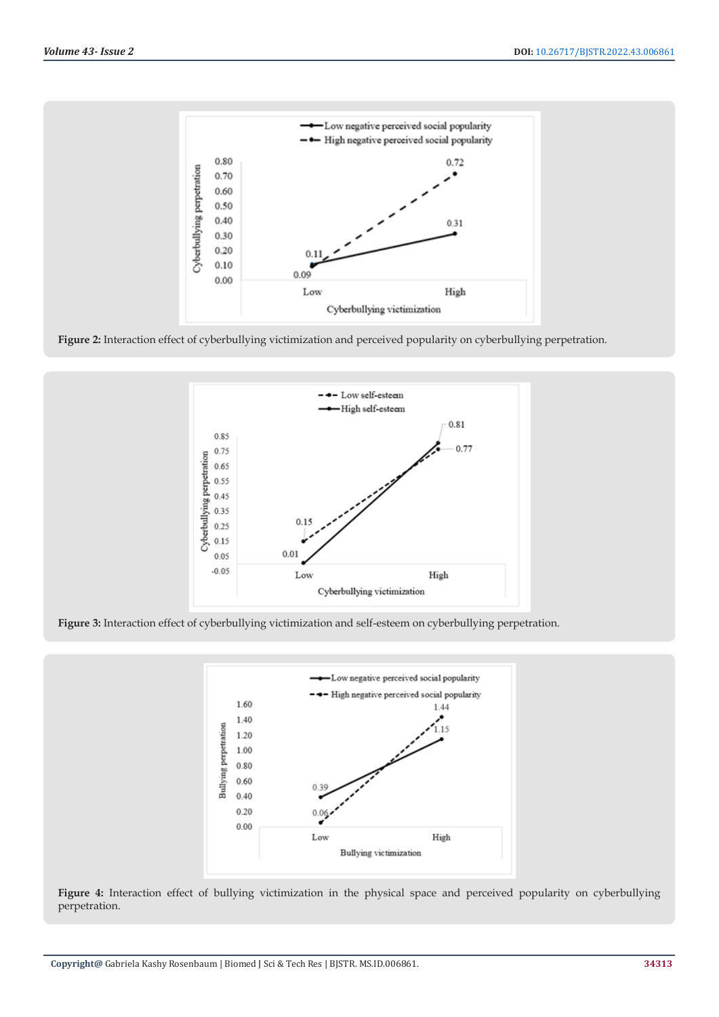

**Figure 2:** Interaction effect of cyberbullying victimization and perceived popularity on cyberbullying perpetration.



**Figure 3:** Interaction effect of cyberbullying victimization and self-esteem on cyberbullying perpetration.



**Figure 4:** Interaction effect of bullying victimization in the physical space and perceived popularity on cyberbullying perpetration.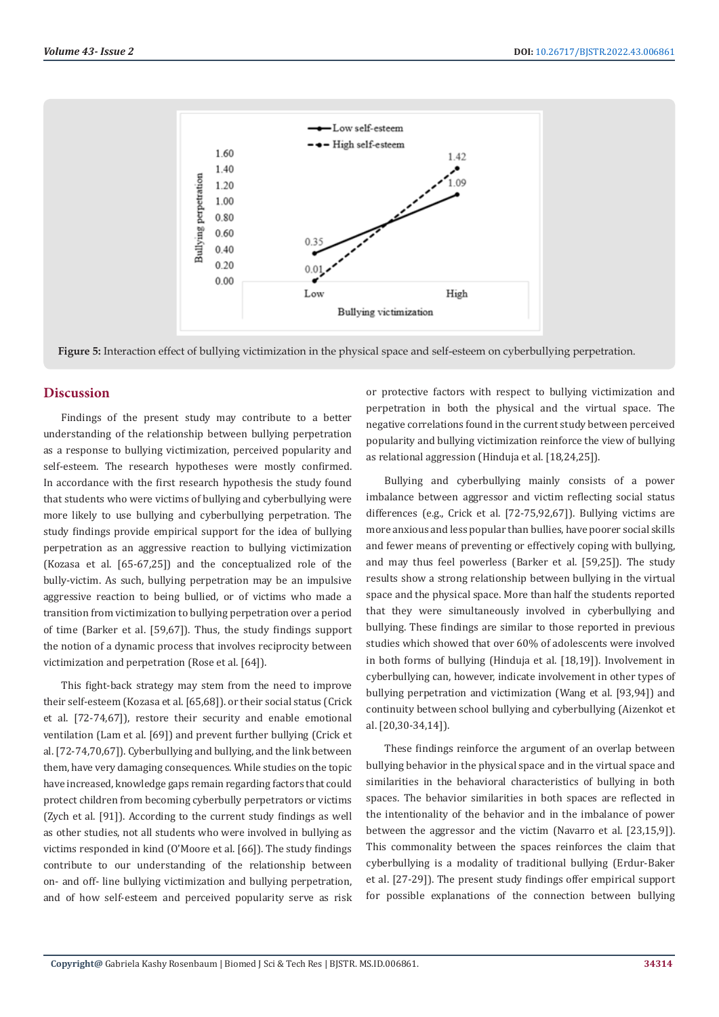

**Figure 5:** Interaction effect of bullying victimization in the physical space and self-esteem on cyberbullying perpetration.

# **Discussion**

Findings of the present study may contribute to a better understanding of the relationship between bullying perpetration as a response to bullying victimization, perceived popularity and self-esteem. The research hypotheses were mostly confirmed. In accordance with the first research hypothesis the study found that students who were victims of bullying and cyberbullying were more likely to use bullying and cyberbullying perpetration. The study findings provide empirical support for the idea of bullying perpetration as an aggressive reaction to bullying victimization (Kozasa et al. [65-67,25]) and the conceptualized role of the bully-victim. As such, bullying perpetration may be an impulsive aggressive reaction to being bullied, or of victims who made a transition from victimization to bullying perpetration over a period of time (Barker et al. [59,67]). Thus, the study findings support the notion of a dynamic process that involves reciprocity between victimization and perpetration (Rose et al. [64]).

This fight-back strategy may stem from the need to improve their self-esteem (Kozasa et al. [65,68]). or their social status (Crick et al. [72-74,67]), restore their security and enable emotional ventilation (Lam et al. [69]) and prevent further bullying (Crick et al. [72-74,70,67]). Cyberbullying and bullying, and the link between them, have very damaging consequences. While studies on the topic have increased, knowledge gaps remain regarding factors that could protect children from becoming cyberbully perpetrators or victims (Zych et al. [91]). According to the current study findings as well as other studies, not all students who were involved in bullying as victims responded in kind (O'Moore et al. [66]). The study findings contribute to our understanding of the relationship between on- and off- line bullying victimization and bullying perpetration, and of how self-esteem and perceived popularity serve as risk or protective factors with respect to bullying victimization and perpetration in both the physical and the virtual space. The negative correlations found in the current study between perceived popularity and bullying victimization reinforce the view of bullying as relational aggression (Hinduja et al. [18,24,25]).

Bullying and cyberbullying mainly consists of a power imbalance between aggressor and victim reflecting social status differences (e.g., Crick et al. [72-75,92,67]). Bullying victims are more anxious and less popular than bullies, have poorer social skills and fewer means of preventing or effectively coping with bullying, and may thus feel powerless (Barker et al. [59,25]). The study results show a strong relationship between bullying in the virtual space and the physical space. More than half the students reported that they were simultaneously involved in cyberbullying and bullying. These findings are similar to those reported in previous studies which showed that over 60% of adolescents were involved in both forms of bullying (Hinduja et al. [18,19]). Involvement in cyberbullying can, however, indicate involvement in other types of bullying perpetration and victimization (Wang et al. [93,94]) and continuity between school bullying and cyberbullying (Aizenkot et al. [20,30-34,14]).

These findings reinforce the argument of an overlap between bullying behavior in the physical space and in the virtual space and similarities in the behavioral characteristics of bullying in both spaces. The behavior similarities in both spaces are reflected in the intentionality of the behavior and in the imbalance of power between the aggressor and the victim (Navarro et al. [23,15,9]). This commonality between the spaces reinforces the claim that cyberbullying is a modality of traditional bullying (Erdur-Baker et al. [27-29]). The present study findings offer empirical support for possible explanations of the connection between bullying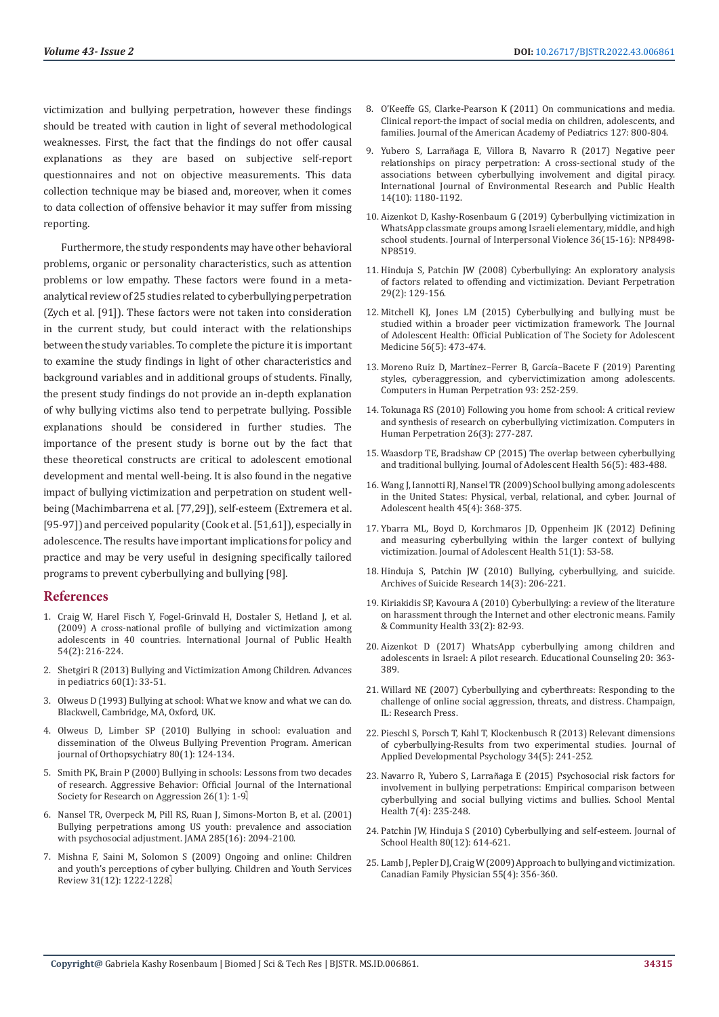victimization and bullying perpetration, however these findings should be treated with caution in light of several methodological weaknesses. First, the fact that the findings do not offer causal explanations as they are based on subjective self-report questionnaires and not on objective measurements. This data collection technique may be biased and, moreover, when it comes to data collection of offensive behavior it may suffer from missing reporting.

Furthermore, the study respondents may have other behavioral problems, organic or personality characteristics, such as attention problems or low empathy. These factors were found in a metaanalytical review of 25 studies related to cyberbullying perpetration (Zych et al. [91]). These factors were not taken into consideration in the current study, but could interact with the relationships between the study variables. To complete the picture it is important to examine the study findings in light of other characteristics and background variables and in additional groups of students. Finally, the present study findings do not provide an in-depth explanation of why bullying victims also tend to perpetrate bullying. Possible explanations should be considered in further studies. The importance of the present study is borne out by the fact that these theoretical constructs are critical to adolescent emotional development and mental well-being. It is also found in the negative impact of bullying victimization and perpetration on student wellbeing (Machimbarrena et al. [77,29]), self-esteem (Extremera et al. [95-97]) and perceived popularity (Cook et al. [51,61]), especially in adolescence. The results have important implications for policy and practice and may be very useful in designing specifically tailored programs to prevent cyberbullying and bullying [98].

#### **References**

- 1. [Craig W, Harel Fisch Y, Fogel-Grinvald H, Dostaler S, Hetland J, et al.](https://pubmed.ncbi.nlm.nih.gov/19623475/)  [\(2009\) A cross-national profile of bullying and victimization among](https://pubmed.ncbi.nlm.nih.gov/19623475/)  [adolescents in 40 countries. International Journal of Public Health](https://pubmed.ncbi.nlm.nih.gov/19623475/)  [54\(2\): 216-224.](https://pubmed.ncbi.nlm.nih.gov/19623475/)
- 2. [Shetgiri R \(2013\) Bullying and Victimization Among Children. Advances](https://pubmed.ncbi.nlm.nih.gov/24007839/)  [in pediatrics 60\(1\): 33-51.](https://pubmed.ncbi.nlm.nih.gov/24007839/)
- 3. Olweus D (1993) Bullying at school: What we know and what we can do. Blackwell, Cambridge, MA, Oxford, UK.
- 4. [Olweus D, Limber SP \(2010\) Bullying in school: evaluation and](https://psycnet.apa.org/record/2010-13348-015)  [dissemination of the Olweus Bullying Prevention Program. American](https://psycnet.apa.org/record/2010-13348-015)  [journal of Orthopsychiatry 80\(1\): 124-134.](https://psycnet.apa.org/record/2010-13348-015)
- 5. [Smith PK, Brain P \(2000\) Bullying in schools: Lessons from two decades](https://www.researchgate.net/publication/246881849_Bullying_in_schools_Lessons_from_two_decades_of_research)  [of research. Aggressive Behavior: Official Journal of the International](https://www.researchgate.net/publication/246881849_Bullying_in_schools_Lessons_from_two_decades_of_research)  [Society for Research on Aggression 26\(1\): 1-9.](https://www.researchgate.net/publication/246881849_Bullying_in_schools_Lessons_from_two_decades_of_research)
- 6. [Nansel TR, Overpeck M, Pill RS, Ruan J, Simons-Morton B, et al. \(2001\)](https://pubmed.ncbi.nlm.nih.gov/11311098/)  [Bullying perpetrations among US youth: prevalence and association](https://pubmed.ncbi.nlm.nih.gov/11311098/)  [with psychosocial adjustment. JAMA 285\(16\): 2094-2100.](https://pubmed.ncbi.nlm.nih.gov/11311098/)
- 7. [Mishna F, Saini M, Solomon S \(2009\) Ongoing and online: Children](https://www.sciencedirect.com/science/article/abs/pii/S0190740909001200)  [and youth's perceptions of cyber bullying. Children and Youth Services](https://www.sciencedirect.com/science/article/abs/pii/S0190740909001200)  Review 31(12): 1222-1228.
- 8. O'Keeffe GS, Clarke-Pearson K (2011) On communications and media. Clinical report-the impact of social media on children, adolescents, and families. Journal of the American Academy of Pediatrics 127: 800-804.
- 9. Yubero S, Larrañ[aga E, Villora B, Navarro R \(2017\) Negative peer](https://pubmed.ncbi.nlm.nih.gov/28981466/) [relationships on piracy perpetration: A cross-sectional study of the](https://pubmed.ncbi.nlm.nih.gov/28981466/) [associations between cyberbullying involvement and digital piracy.](https://pubmed.ncbi.nlm.nih.gov/28981466/) [International Journal of Environmental Research and Public Health](https://pubmed.ncbi.nlm.nih.gov/28981466/) [14\(10\): 1180-1192.](https://pubmed.ncbi.nlm.nih.gov/28981466/)
- 10. [Aizenkot D, Kashy-Rosenbaum G \(2019\) Cyberbullying victimization in](https://pubmed.ncbi.nlm.nih.gov/31006326/) [WhatsApp classmate groups among Israeli elementary, middle, and high](https://pubmed.ncbi.nlm.nih.gov/31006326/) [school students. Journal of Interpersonal Violence 36\(15-16\): NP8498-](https://pubmed.ncbi.nlm.nih.gov/31006326/) [NP8519.](https://pubmed.ncbi.nlm.nih.gov/31006326/)
- 11. [Hinduja S, Patchin JW \(2008\) Cyberbullying: An exploratory analysis](https://www.researchgate.net/publication/248985854_Cyberbullying_An_Exploratory_Analysis_of_Factors_Related_to_Offending_and_Victimization) [of factors related to offending and victimization. Deviant Perpetration](https://www.researchgate.net/publication/248985854_Cyberbullying_An_Exploratory_Analysis_of_Factors_Related_to_Offending_and_Victimization) [29\(2\): 129-156.](https://www.researchgate.net/publication/248985854_Cyberbullying_An_Exploratory_Analysis_of_Factors_Related_to_Offending_and_Victimization)
- 12. [Mitchell KJ, Jones LM \(2015\) Cyberbullying and bullying must be](https://pubmed.ncbi.nlm.nih.gov/25907647/) [studied within a broader peer victimization framework. The Journal](https://pubmed.ncbi.nlm.nih.gov/25907647/) [of Adolescent Health: Official Publication of The Society for Adolescent](https://pubmed.ncbi.nlm.nih.gov/25907647/) [Medicine 56\(5\): 473-474.](https://pubmed.ncbi.nlm.nih.gov/25907647/)
- 13. Moreno Ruiz D, Martínez–Ferrer B, Garcí[a–Bacete F \(2019\) Parenting](https://www.researchgate.net/publication/329777406_Parenting_styles_cyberaggression_and_cybervictimization_among_adolescents) [styles, cyberaggression, and cybervictimization among adolescents.](https://www.researchgate.net/publication/329777406_Parenting_styles_cyberaggression_and_cybervictimization_among_adolescents) [Computers in Human Perpetration 93: 252-259.](https://www.researchgate.net/publication/329777406_Parenting_styles_cyberaggression_and_cybervictimization_among_adolescents)
- 14. [Tokunaga RS \(2010\) Following you home from school: A critical review](https://eclass.uoa.gr/modules/document/file.php/PPP357/Following%20you%20home%20from%20school%20A%20critical%20review%20and%20synthesis%20of%20research.pdf) [and synthesis of research on cyberbullying victimization. Computers in](https://eclass.uoa.gr/modules/document/file.php/PPP357/Following%20you%20home%20from%20school%20A%20critical%20review%20and%20synthesis%20of%20research.pdf) [Human Perpetration 26\(3\): 277-287.](https://eclass.uoa.gr/modules/document/file.php/PPP357/Following%20you%20home%20from%20school%20A%20critical%20review%20and%20synthesis%20of%20research.pdf)
- 15. [Waasdorp TE, Bradshaw CP \(2015\) The overlap between cyberbullying](https://pubmed.ncbi.nlm.nih.gov/25631040/) [and traditional bullying. Journal of Adolescent Health 56\(5\): 483-488.](https://pubmed.ncbi.nlm.nih.gov/25631040/)
- 16. [Wang J, Iannotti RJ, Nansel TR \(2009\) School bullying among adolescents](https://pubmed.ncbi.nlm.nih.gov/19766941/) [in the United States: Physical, verbal, relational, and cyber. Journal of](https://pubmed.ncbi.nlm.nih.gov/19766941/) [Adolescent health 45\(4\): 368-375.](https://pubmed.ncbi.nlm.nih.gov/19766941/)
- 17. [Ybarra ML, Boyd D, Korchmaros JD, Oppenheim JK \(2012\) Defining](https://pubmed.ncbi.nlm.nih.gov/22727077/) [and measuring cyberbullying within the larger context of bullying](https://pubmed.ncbi.nlm.nih.gov/22727077/) [victimization. Journal of Adolescent Health 51\(1\): 53-58.](https://pubmed.ncbi.nlm.nih.gov/22727077/)
- 18. [Hinduja S, Patchin JW \(2010\) Bullying, cyberbullying, and suicide.](https://www.researchgate.net/publication/45289246_Bullying_Cyberbullying_and_Suicide) [Archives of Suicide Research 14\(3\): 206-221.](https://www.researchgate.net/publication/45289246_Bullying_Cyberbullying_and_Suicide)
- 19. [Kiriakidis SP, Kavoura A \(2010\) Cyberbullying: a review of the literature](https://www.researchgate.net/publication/41849341_Cyberbullying_A_Review_of_the_Literature_on_Harassment_Through_the_Internet_and_Other_Electronic_Means) [on harassment through the Internet and other electronic means. Family](https://www.researchgate.net/publication/41849341_Cyberbullying_A_Review_of_the_Literature_on_Harassment_Through_the_Internet_and_Other_Electronic_Means) [& Community Health 33\(2\): 82-93.](https://www.researchgate.net/publication/41849341_Cyberbullying_A_Review_of_the_Literature_on_Harassment_Through_the_Internet_and_Other_Electronic_Means)
- 20. Aizenkot D (2017) WhatsApp cyberbullying among children and adolescents in Israel: A pilot research. Educational Counseling 20: 363- 389.
- 21. Willard NE (2007) Cyberbullying and cyberthreats: Responding to the challenge of online social aggression, threats, and distress. Champaign, IL: Research Press.
- 22. [Pieschl S, Porsch T, Kahl T, Klockenbusch R \(2013\) Relevant dimensions](https://psycnet.apa.org/record/2013-19540-001) [of cyberbullying-Results from two experimental studies. Journal of](https://psycnet.apa.org/record/2013-19540-001) [Applied Developmental Psychology 34\(5\): 241-252.](https://psycnet.apa.org/record/2013-19540-001)
- 23. Navarro R, Yubero S, Larrañ[aga E \(2015\) Psychosocial risk factors for](https://www.researchgate.net/publication/281556472_Psychosocial_Risk_Factors_for_Involvement_in_Bullying_Behaviors_Empirical_Comparison_Between_Cyberbullying_and_Social_Bullying_Victims_and_Bullies) [involvement in bullying perpetrations: Empirical comparison between](https://www.researchgate.net/publication/281556472_Psychosocial_Risk_Factors_for_Involvement_in_Bullying_Behaviors_Empirical_Comparison_Between_Cyberbullying_and_Social_Bullying_Victims_and_Bullies) [cyberbullying and social bullying victims and bullies. School Mental](https://www.researchgate.net/publication/281556472_Psychosocial_Risk_Factors_for_Involvement_in_Bullying_Behaviors_Empirical_Comparison_Between_Cyberbullying_and_Social_Bullying_Victims_and_Bullies) [Health 7\(4\): 235-248.](https://www.researchgate.net/publication/281556472_Psychosocial_Risk_Factors_for_Involvement_in_Bullying_Behaviors_Empirical_Comparison_Between_Cyberbullying_and_Social_Bullying_Victims_and_Bullies)
- 24. [Patchin JW, Hinduja S \(2010\) Cyberbullying and self-esteem. Journal of](https://onlinelibrary.wiley.com/doi/abs/10.1111/j.1746-1561.2010.00548.x) [School Health 80\(12\): 614-621.](https://onlinelibrary.wiley.com/doi/abs/10.1111/j.1746-1561.2010.00548.x)
- 25. [Lamb J, Pepler DJ, Craig W \(2009\) Approach to bullying and victimization.](https://pubmed.ncbi.nlm.nih.gov/19366941/) [Canadian Family Physician 55\(4\): 356-360.](https://pubmed.ncbi.nlm.nih.gov/19366941/)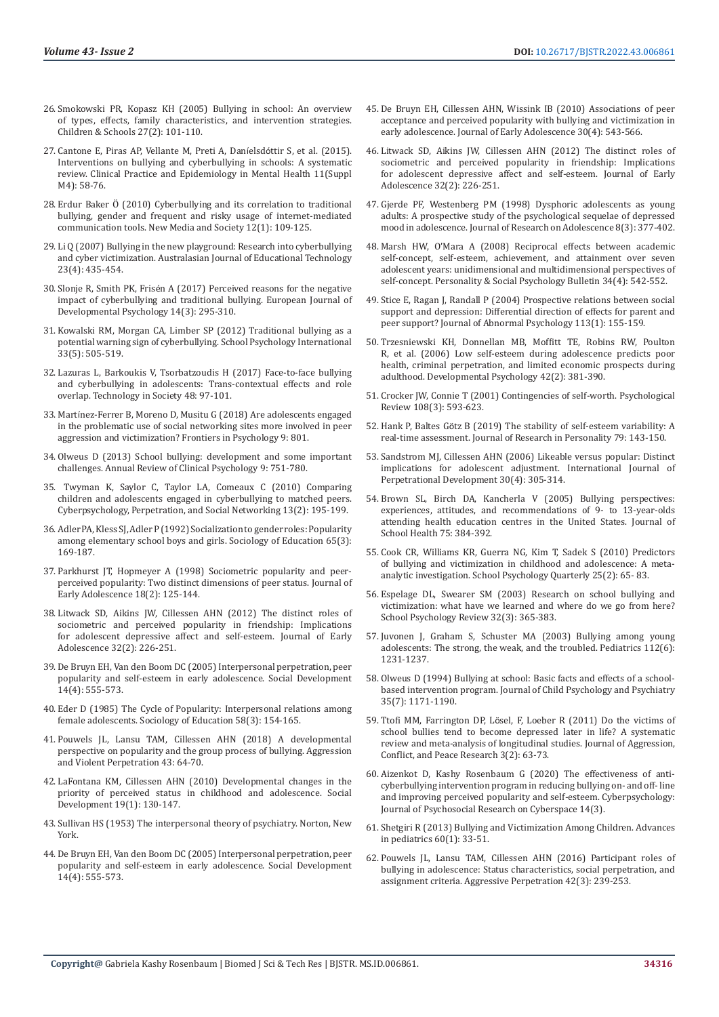- 26. [Smokowski PR, Kopasz KH \(2005\) Bullying in school: An overview](https://psycnet.apa.org/record/2005-13787-005)  [of types, effects, family characteristics, and intervention strategies.](https://psycnet.apa.org/record/2005-13787-005)  [Children & Schools 27\(2\): 101-110.](https://psycnet.apa.org/record/2005-13787-005)
- 27. [Cantone E, Piras AP, Vellante M, Preti A, Dan](https://pubmed.ncbi.nlm.nih.gov/25834628/)íelsdóttir S, et al. (2015). [Interventions on bullying and cyberbullying in schools: A systematic](https://pubmed.ncbi.nlm.nih.gov/25834628/)  [review. Clinical Practice and Epidemiology in Mental Health 11\(Suppl](https://pubmed.ncbi.nlm.nih.gov/25834628/)  [M4\): 58-76.](https://pubmed.ncbi.nlm.nih.gov/25834628/)
- 28. [Erdur Baker Ö \(2010\) Cyberbullying and its correlation to traditional](https://www.researchgate.net/publication/223956341_Cyberbullying_and_its_correlation_to_traditional_bullying_gender_and_frequent_and_risky_usage_of_Internet-mediated_communication_tools)  [bullying, gender and frequent and risky usage of internet-mediated](https://www.researchgate.net/publication/223956341_Cyberbullying_and_its_correlation_to_traditional_bullying_gender_and_frequent_and_risky_usage_of_Internet-mediated_communication_tools)  [communication tools. New Media and Society 12\(1\): 109-125.](https://www.researchgate.net/publication/223956341_Cyberbullying_and_its_correlation_to_traditional_bullying_gender_and_frequent_and_risky_usage_of_Internet-mediated_communication_tools)
- 29. [Li Q \(2007\) Bullying in the new playground: Research into cyberbullying](https://www.semanticscholar.org/paper/Bullying-in-the-new-playground%3A-Research-into-and-Li/490348dcd182d2f3e9d59e5fa375f2aeb6482343)  [and cyber victimization. Australasian Journal of Educational Technology](https://www.semanticscholar.org/paper/Bullying-in-the-new-playground%3A-Research-into-and-Li/490348dcd182d2f3e9d59e5fa375f2aeb6482343)  [23\(4\): 435-454.](https://www.semanticscholar.org/paper/Bullying-in-the-new-playground%3A-Research-into-and-Li/490348dcd182d2f3e9d59e5fa375f2aeb6482343)
- 30. Slonje R, Smith PK, Frisé[n A \(2017\) Perceived reasons for the negative](https://psycnet.apa.org/record/2017-11045-004)  [impact of cyberbullying and traditional bullying. European Journal of](https://psycnet.apa.org/record/2017-11045-004)  [Developmental Psychology 14\(3\): 295-310.](https://psycnet.apa.org/record/2017-11045-004)
- 31. [Kowalski RM, Morgan CA, Limber SP \(2012\) Traditional bullying as a](https://journals.sagepub.com/doi/abs/10.1177/0143034312445244)  [potential warning sign of cyberbullying. School Psychology International](https://journals.sagepub.com/doi/abs/10.1177/0143034312445244)  [33\(5\): 505-519.](https://journals.sagepub.com/doi/abs/10.1177/0143034312445244)
- 32. [Lazuras L, Barkoukis V, Tsorbatzoudis H \(2017\) Face-to-face bullying](https://econpapers.repec.org/RePEc:eee:teinso:v:48:y:2017:i:c:p:97-101)  [and cyberbullying in adolescents: Trans-contextual effects and role](https://econpapers.repec.org/RePEc:eee:teinso:v:48:y:2017:i:c:p:97-101)  [overlap. Technology in Society 48: 97-101.](https://econpapers.repec.org/RePEc:eee:teinso:v:48:y:2017:i:c:p:97-101)
- 33. Martí[nez-Ferrer B, Moreno D, Musitu G \(2018\) Are adolescents engaged](https://pubmed.ncbi.nlm.nih.gov/29896139/)  [in the problematic use of social networking sites more involved in peer](https://pubmed.ncbi.nlm.nih.gov/29896139/)  [aggression and victimization? Frontiers in Psychology 9: 801.](https://pubmed.ncbi.nlm.nih.gov/29896139/)
- 34. [Olweus D \(2013\) School bullying: development and some important](https://www.annualreviews.org/doi/abs/10.1146/annurev-clinpsy-050212-185516)  [challenges. Annual Review of Clinical Psychology 9: 751-780.](https://www.annualreviews.org/doi/abs/10.1146/annurev-clinpsy-050212-185516)
- 35. [Twyman K, Saylor C, Taylor LA, Comeaux C \(2010\) Comparing](https://www.liebertpub.com/doi/10.1089/cyber.2009.0137)  [children and adolescents engaged in cyberbullying to matched peers.](https://www.liebertpub.com/doi/10.1089/cyber.2009.0137)  [Cyberpsychology, Perpetration, and Social Networking 13\(2\): 195-199.](https://www.liebertpub.com/doi/10.1089/cyber.2009.0137)
- 36. [Adler PA, Kless SJ, Adler P \(1992\) Socialization to gender roles: Popularity](https://www.semanticscholar.org/paper/Socialization-to-Gender-Roles%3A-Popularity-among-and-Adler-Kless/7f3259fa801b1dab6fae2caf97a24063c3ce3ba2)  [among elementary school boys and girls. Sociology of Education 65\(3\):](https://www.semanticscholar.org/paper/Socialization-to-Gender-Roles%3A-Popularity-among-and-Adler-Kless/7f3259fa801b1dab6fae2caf97a24063c3ce3ba2)  [169-187.](https://www.semanticscholar.org/paper/Socialization-to-Gender-Roles%3A-Popularity-among-and-Adler-Kless/7f3259fa801b1dab6fae2caf97a24063c3ce3ba2)
- 37. [Parkhurst JT, Hopmeyer A \(1998\) Sociometric popularity and peer](https://www.researchgate.net/publication/247763961_Sociometric_Popularity_and_Peer-Perceived_Popularity_Two_Distinct_Dimensions_of_Peer_Status)[perceived popularity: Two distinct dimensions of peer status. Journal of](https://www.researchgate.net/publication/247763961_Sociometric_Popularity_and_Peer-Perceived_Popularity_Two_Distinct_Dimensions_of_Peer_Status)  [Early Adolescence 18\(2\): 125-144.](https://www.researchgate.net/publication/247763961_Sociometric_Popularity_and_Peer-Perceived_Popularity_Two_Distinct_Dimensions_of_Peer_Status)
- 38. [Litwack SD, Aikins JW, Cillessen AHN \(2012\) The distinct roles of](https://psycnet.apa.org/record/2012-07651-004)  [sociometric and perceived popularity in friendship: Implications](https://psycnet.apa.org/record/2012-07651-004)  [for adolescent depressive affect and self-esteem. Journal of Early](https://psycnet.apa.org/record/2012-07651-004)  [Adolescence 32\(2\): 226-251.](https://psycnet.apa.org/record/2012-07651-004)
- 39. De Bruyn EH, Van den Boom DC (2005) Interpersonal perpetration, peer popularity and self-esteem in early adolescence. Social Development 14(4): 555-573.
- 40. [Eder D \(1985\) The Cycle of Popularity: Interpersonal relations among](https://psycnet.apa.org/record/1986-24175-001)  [female adolescents. Sociology of Education 58\(3\): 154-165.](https://psycnet.apa.org/record/1986-24175-001)
- 41. [Pouwels JL, Lansu TAM, Cillessen AHN \(2018\) A developmental](https://repub.eur.nl/pub/111503)  [perspective on popularity and the group process of bullying. Aggression](https://repub.eur.nl/pub/111503)  [and Violent Perpetration 43: 64-70.](https://repub.eur.nl/pub/111503)
- 42. [LaFontana KM, Cillessen AHN \(2010\) Developmental changes in the](https://psycnet.apa.org/record/2010-00300-007)  [priority of perceived status in childhood and adolescence. Social](https://psycnet.apa.org/record/2010-00300-007)  [Development 19\(1\): 130-147.](https://psycnet.apa.org/record/2010-00300-007)
- 43. Sullivan HS (1953) The interpersonal theory of psychiatry. Norton, New York.
- 44. De Bruyn EH, Van den Boom DC (2005) Interpersonal perpetration, peer popularity and self-esteem in early adolescence. Social Development 14(4): 555-573.
- 45. [De Bruyn EH, Cillessen AHN, Wissink IB \(2010\) Associations of peer](https://psycnet.apa.org/record/2010-15864-004) [acceptance and perceived popularity with bullying and victimization in](https://psycnet.apa.org/record/2010-15864-004) [early adolescence. Journal of Early Adolescence 30\(4\): 543-566.](https://psycnet.apa.org/record/2010-15864-004)
- 46. [Litwack SD, Aikins JW, Cillessen AHN \(2012\) The distinct roles of](https://psycnet.apa.org/record/2012-07651-004) [sociometric and perceived popularity in friendship: Implications](https://psycnet.apa.org/record/2012-07651-004) [for adolescent depressive affect and self-esteem. Journal of Early](https://psycnet.apa.org/record/2012-07651-004) [Adolescence 32\(2\): 226-251.](https://psycnet.apa.org/record/2012-07651-004)
- 47. [Gjerde PF, Westenberg PM \(1998\) Dysphoric adolescents as young](https://psycnet.apa.org/record/1998-12803-005) [adults: A prospective study of the psychological sequelae of depressed](https://psycnet.apa.org/record/1998-12803-005) [mood in adolescence. Journal of Research on Adolescence 8\(3\): 377-402.](https://psycnet.apa.org/record/1998-12803-005)
- 48. [Marsh HW, O'Mara A \(2008\) Reciprocal effects between academic](https://www.researchgate.net/publication/5512381_Reciprocal_Effects_Between_Academic_Self-Concept_Self-Esteem_Achievement_and_Attainment_Over_Seven_Adolescent_Years_Unidimensional_and_Multidimensional_Perspectives_of_Self-Concept) [self-concept, self-esteem, achievement, and attainment over seven](https://www.researchgate.net/publication/5512381_Reciprocal_Effects_Between_Academic_Self-Concept_Self-Esteem_Achievement_and_Attainment_Over_Seven_Adolescent_Years_Unidimensional_and_Multidimensional_Perspectives_of_Self-Concept) [adolescent years: unidimensional and multidimensional perspectives of](https://www.researchgate.net/publication/5512381_Reciprocal_Effects_Between_Academic_Self-Concept_Self-Esteem_Achievement_and_Attainment_Over_Seven_Adolescent_Years_Unidimensional_and_Multidimensional_Perspectives_of_Self-Concept) [self-concept. Personality & Social Psychology Bulletin 34\(4\): 542-552.](https://www.researchgate.net/publication/5512381_Reciprocal_Effects_Between_Academic_Self-Concept_Self-Esteem_Achievement_and_Attainment_Over_Seven_Adolescent_Years_Unidimensional_and_Multidimensional_Perspectives_of_Self-Concept)
- 49. [Stice E, Ragan J, Randall P \(2004\) Prospective relations between social](http://citeseerx.ist.psu.edu/viewdoc/download?doi=10.1.1.523.656&rep=rep1&type=pdf) [support and depression: Differential direction of effects for parent and](http://citeseerx.ist.psu.edu/viewdoc/download?doi=10.1.1.523.656&rep=rep1&type=pdf) [peer support? Journal of Abnormal Psychology 113\(1\): 155-159.](http://citeseerx.ist.psu.edu/viewdoc/download?doi=10.1.1.523.656&rep=rep1&type=pdf)
- 50. [Trzesniewski KH, Donnellan MB, Moffitt TE, Robins RW, Poulton](https://pubmed.ncbi.nlm.nih.gov/16569175/) [R, et al. \(2006\) Low self-esteem during adolescence predicts poor](https://pubmed.ncbi.nlm.nih.gov/16569175/) [health, criminal perpetration, and limited economic prospects during](https://pubmed.ncbi.nlm.nih.gov/16569175/) [adulthood. Developmental Psychology 42\(2\): 381-390.](https://pubmed.ncbi.nlm.nih.gov/16569175/)
- 51. [Crocker JW, Connie T \(2001\) Contingencies of self-worth. Psychological](https://pubmed.ncbi.nlm.nih.gov/11488379/) [Review 108\(3\): 593-623.](https://pubmed.ncbi.nlm.nih.gov/11488379/)
- 52. Hank P, Baltes Gö[tz B \(2019\) The stability of self-esteem variability: A](https://psycnet.apa.org/record/2019-19017-016) [real-time assessment. Journal of Research in Personality 79: 143-150.](https://psycnet.apa.org/record/2019-19017-016)
- 53. [Sandstrom MJ, Cillessen AHN \(2006\) Likeable versus popular: Distinct](https://citeseerx.ist.psu.edu/viewdoc/download?doi=10.1.1.885.3779&rep=rep1&type=pdf) [implications for adolescent adjustment. International Journal of](https://citeseerx.ist.psu.edu/viewdoc/download?doi=10.1.1.885.3779&rep=rep1&type=pdf) [Perpetrational Development 30\(4\): 305-314.](https://citeseerx.ist.psu.edu/viewdoc/download?doi=10.1.1.885.3779&rep=rep1&type=pdf)
- 54. [Brown SL, Birch DA, Kancherla V \(2005\) Bullying perspectives:](https://www.thefreelibrary.com/Bullying+perspectives%3A+experiences%2C+attitudes%2C+and+recommendations+of...-a0140486878) [experiences, attitudes, and recommendations of 9- to 13-year-olds](https://www.thefreelibrary.com/Bullying+perspectives%3A+experiences%2C+attitudes%2C+and+recommendations+of...-a0140486878) [attending health education centres in the United States. Journal of](https://www.thefreelibrary.com/Bullying+perspectives%3A+experiences%2C+attitudes%2C+and+recommendations+of...-a0140486878) [School Health 75: 384-392.](https://www.thefreelibrary.com/Bullying+perspectives%3A+experiences%2C+attitudes%2C+and+recommendations+of...-a0140486878)
- 55. [Cook CR, Williams KR, Guerra NG, Kim T, Sadek S \(2010\) Predictors](https://www.apa.org/pubs/journals/releases/spq-25-2-65.pdf) [of bullying and victimization in childhood and adolescence: A meta](https://www.apa.org/pubs/journals/releases/spq-25-2-65.pdf)[analytic investigation. School Psychology Quarterly 25\(2\): 65- 83.](https://www.apa.org/pubs/journals/releases/spq-25-2-65.pdf)
- 56. [Espelage DL, Swearer SM \(2003\) Research on school bullying and](https://www.researchgate.net/publication/235220440_Research_on_School_Bullying_and_Victimization_What_Have_We_Learned_and_Where_Do_We_Go_From_Here) [victimization: what have we learned and where do we go from here?](https://www.researchgate.net/publication/235220440_Research_on_School_Bullying_and_Victimization_What_Have_We_Learned_and_Where_Do_We_Go_From_Here) [School Psychology Review 32\(3\): 365-383.](https://www.researchgate.net/publication/235220440_Research_on_School_Bullying_and_Victimization_What_Have_We_Learned_and_Where_Do_We_Go_From_Here)
- 57. [Juvonen J, Graham S, Schuster MA \(2003\) Bullying among young](https://pubmed.ncbi.nlm.nih.gov/14654590/) [adolescents: The strong, the weak, and the troubled. Pediatrics 112\(6\):](https://pubmed.ncbi.nlm.nih.gov/14654590/) [1231-1237.](https://pubmed.ncbi.nlm.nih.gov/14654590/)
- 58. [Olweus D \(1994\) Bullying at school: Basic facts and effects of a school](https://psycnet.apa.org/record/1995-11543-001)[based intervention program. Journal of Child Psychology and Psychiatry](https://psycnet.apa.org/record/1995-11543-001) [35\(7\): 1171-1190.](https://psycnet.apa.org/record/1995-11543-001)
- 59. Ttofi MM, Farrington DP, Lö[sel, F, Loeber R \(2011\) Do the victims of](https://psycnet.apa.org/record/2011-13026-002) [school bullies tend to become depressed later in life? A systematic](https://psycnet.apa.org/record/2011-13026-002) [review and meta-analysis of longitudinal studies. Journal of Aggression,](https://psycnet.apa.org/record/2011-13026-002) [Conflict, and Peace Research 3\(2\): 63-73.](https://psycnet.apa.org/record/2011-13026-002)
- 60. [Aizenkot D, Kashy Rosenbaum G \(2020\) The effectiveness of anti](https://cyberpsychology.eu/article/view/12580)[cyberbullying intervention program in reducing bullying on- and off- line](https://cyberpsychology.eu/article/view/12580) [and improving perceived popularity and self-esteem. Cyberpsychology:](https://cyberpsychology.eu/article/view/12580) [Journal of Psychosocial Research on Cyberspace 14\(3\).](https://cyberpsychology.eu/article/view/12580)
- 61. [Shetgiri R \(2013\) Bullying and Victimization Among Children. Advances](https://pubmed.ncbi.nlm.nih.gov/24007839/) [in pediatrics 60\(1\): 33-51.](https://pubmed.ncbi.nlm.nih.gov/24007839/)
- 62. [Pouwels JL, Lansu TAM, Cillessen AHN \(2016\) Participant roles of](https://www.researchgate.net/publication/281629757_Participant_Roles_of_Bullying_in_Adolescence_Status_Characteristics_Social_Behavior_and_Assignment_Criteria) [bullying in adolescence: Status characteristics, social perpetration, and](https://www.researchgate.net/publication/281629757_Participant_Roles_of_Bullying_in_Adolescence_Status_Characteristics_Social_Behavior_and_Assignment_Criteria) [assignment criteria. Aggressive Perpetration 42\(3\): 239-253.](https://www.researchgate.net/publication/281629757_Participant_Roles_of_Bullying_in_Adolescence_Status_Characteristics_Social_Behavior_and_Assignment_Criteria)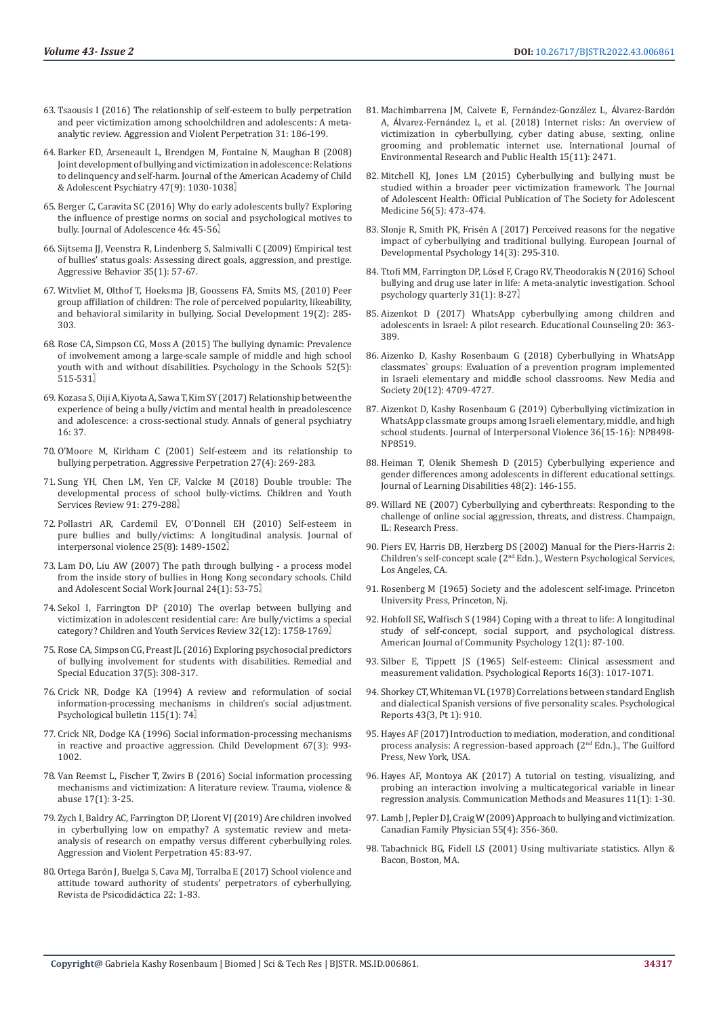- 63. [Tsaousis I \(2016\) The relationship of self-esteem to bully perpetration](https://www.sciencedirect.com/science/article/abs/pii/S1359178916301355)  [and peer victimization among schoolchildren and adolescents: A meta](https://www.sciencedirect.com/science/article/abs/pii/S1359178916301355)[analytic review. Aggression and Violent Perpetration 31: 186-199.](https://www.sciencedirect.com/science/article/abs/pii/S1359178916301355)
- 64. [Barker ED, Arseneault L, Brendgen M, Fontaine N, Maughan B \(2008\)](https://pubmed.ncbi.nlm.nih.gov/18665001/)  [Joint development of bullying and victimization in adolescence: Relations](https://pubmed.ncbi.nlm.nih.gov/18665001/)  [to delinquency and self-harm. Journal of the American Academy of Child](https://pubmed.ncbi.nlm.nih.gov/18665001/)  [& Adolescent Psychiatry 47\(9\): 1030-1038.](https://pubmed.ncbi.nlm.nih.gov/18665001/)
- 65. [Berger C, Caravita SC \(2016\) Why do early adolescents bully? Exploring](https://pubmed.ncbi.nlm.nih.gov/26584218/)  [the influence of prestige norms on social and psychological motives to](https://pubmed.ncbi.nlm.nih.gov/26584218/)  [bully. Journal of Adolescence 46: 45-56.](https://pubmed.ncbi.nlm.nih.gov/26584218/)
- 66. [Sijtsema JJ, Veenstra R, Lindenberg S, Salmivalli C \(2009\) Empirical test](https://pubmed.ncbi.nlm.nih.gov/18925635/)  [of bullies' status goals: Assessing direct goals, aggression, and prestige.](https://pubmed.ncbi.nlm.nih.gov/18925635/)  [Aggressive Behavior 35\(1\): 57-67.](https://pubmed.ncbi.nlm.nih.gov/18925635/)
- 67. [Witvliet M, Olthof T, Hoeksma JB, Goossens FA, Smits MS, \(2010\) Peer](https://research.vu.nl/en/publications/peer-group-affiliation-of-children-the-role-of-perceived-populari)  [group affiliation of children: The role of perceived popularity, likeability,](https://research.vu.nl/en/publications/peer-group-affiliation-of-children-the-role-of-perceived-populari)  [and behavioral similarity in bullying. Social Development 19\(2\): 285-](https://research.vu.nl/en/publications/peer-group-affiliation-of-children-the-role-of-perceived-populari) [303.](https://research.vu.nl/en/publications/peer-group-affiliation-of-children-the-role-of-perceived-populari)
- 68. [Rose CA, Simpson CG, Moss A \(2015\) The bullying dynamic: Prevalence](https://psycnet.apa.org/record/2015-13453-001)  [of involvement among a large-scale sample of middle and high school](https://psycnet.apa.org/record/2015-13453-001)  [youth with and without disabilities. Psychology in the Schools 52\(5\):](https://psycnet.apa.org/record/2015-13453-001)  [515-531.](https://psycnet.apa.org/record/2015-13453-001)
- 69. [Kozasa S, Oiji A, Kiyota A, Sawa T, Kim SY \(2017\) Relationship between the](https://pubmed.ncbi.nlm.nih.gov/29075310/)  [experience of being a bully/victim and mental health in preadolescence](https://pubmed.ncbi.nlm.nih.gov/29075310/)  [and adolescence: a cross-sectional study. Annals of general psychiatry](https://pubmed.ncbi.nlm.nih.gov/29075310/)  [16: 37.](https://pubmed.ncbi.nlm.nih.gov/29075310/)
- 70. [O'Moore M, Kirkham C \(2001\) Self-esteem and its relationship to](https://www.researchgate.net/publication/227900933_Self-esteem_and_its_relationship_to_bullying_behavior)  [bullying perpetration. Aggressive Perpetration 27\(4\): 269-283.](https://www.researchgate.net/publication/227900933_Self-esteem_and_its_relationship_to_bullying_behavior)
- 71. [Sung YH, Chen LM, Yen CF, Valcke M \(2018\) Double trouble: The](https://psycnet.apa.org/record/2018-42045-034)  [developmental process of school bully-victims. Children and Youth](https://psycnet.apa.org/record/2018-42045-034)  [Services Review 91: 279-288.](https://psycnet.apa.org/record/2018-42045-034)
- 72. [Pollastri AR, Cardemil EV, O'Donnell EH \(2010\) Self-esteem in](https://pubmed.ncbi.nlm.nih.gov/20040706/)  [pure bullies and bully/victims: A longitudinal analysis. Journal of](https://pubmed.ncbi.nlm.nih.gov/20040706/)  [interpersonal violence 25\(8\): 1489-1502.](https://pubmed.ncbi.nlm.nih.gov/20040706/)
- 73. [Lam DO, Liu AW \(2007\) The path through bullying a process model](https://www.researchgate.net/publication/226474944_The_Path_through_Bullying-A_Process_Model_from_the_Inside_Story_of_Bullies_in_Hong_Kong_Secondary_Schools)  [from the inside story of bullies in Hong Kong secondary schools. Child](https://www.researchgate.net/publication/226474944_The_Path_through_Bullying-A_Process_Model_from_the_Inside_Story_of_Bullies_in_Hong_Kong_Secondary_Schools)  [and Adolescent Social Work Journal 24\(1\): 53-75.](https://www.researchgate.net/publication/226474944_The_Path_through_Bullying-A_Process_Model_from_the_Inside_Story_of_Bullies_in_Hong_Kong_Secondary_Schools)
- 74. [Sekol I, Farrington DP \(2010\) The overlap between bullying and](https://www.researchgate.net/publication/227413855_The_overlap_between_bullying_and_victimization_in_adolescent_residential_care_Are_bullyvictims_a_special_category)  [victimization in adolescent residential care: Are bully/victims a special](https://www.researchgate.net/publication/227413855_The_overlap_between_bullying_and_victimization_in_adolescent_residential_care_Are_bullyvictims_a_special_category)  [category? Children and Youth Services Review 32\(12\): 1758-1769.](https://www.researchgate.net/publication/227413855_The_overlap_between_bullying_and_victimization_in_adolescent_residential_care_Are_bullyvictims_a_special_category)
- 75. [Rose CA, Simpson CG, Preast JL \(2016\) Exploring psychosocial predictors](https://psycnet.apa.org/record/2016-44789-005)  [of bullying involvement for students with disabilities. Remedial and](https://psycnet.apa.org/record/2016-44789-005)  [Special Education 37\(5\): 308-317.](https://psycnet.apa.org/record/2016-44789-005)
- 76. [Crick NR, Dodge KA \(1994\) A review and reformulation of social](https://www.semanticscholar.org/paper/A-review-and-reformulation-of-social-mechanisms-in-Crick-Dodge/074c8d14fada81b7ed63deafd044336524abeb2e)  [information-processing mechanisms in children's social adjustment.](https://www.semanticscholar.org/paper/A-review-and-reformulation-of-social-mechanisms-in-Crick-Dodge/074c8d14fada81b7ed63deafd044336524abeb2e)  [Psychological bulletin 115\(1\): 74.](https://www.semanticscholar.org/paper/A-review-and-reformulation-of-social-mechanisms-in-Crick-Dodge/074c8d14fada81b7ed63deafd044336524abeb2e)
- 77. [Crick NR, Dodge KA \(1996\) Social information-processing mechanisms](https://pubmed.ncbi.nlm.nih.gov/8706540/)  [in reactive and proactive aggression. Child Development 67\(3\): 993-](https://pubmed.ncbi.nlm.nih.gov/8706540/) [1002.](https://pubmed.ncbi.nlm.nih.gov/8706540/)
- 78. [Van Reemst L, Fischer T, Zwirs B \(2016\) Social information processing](https://pubmed.ncbi.nlm.nih.gov/25389278/)  [mechanisms and victimization: A literature review. Trauma, violence &](https://pubmed.ncbi.nlm.nih.gov/25389278/)  [abuse 17\(1\): 3-25.](https://pubmed.ncbi.nlm.nih.gov/25389278/)
- 79. [Zych I, Baldry AC, Farrington DP, Llorent VJ \(2019\) Are children involved](https://psycnet.apa.org/record/2018-14299-001)  [in cyberbullying low on empathy? A systematic review and meta](https://psycnet.apa.org/record/2018-14299-001)[analysis of research on empathy versus different cyberbullying roles.](https://psycnet.apa.org/record/2018-14299-001)  [Aggression and Violent Perpetration 45: 83-97.](https://psycnet.apa.org/record/2018-14299-001)
- 80. Ortega Baró[n J, Buelga S, Cava MJ, Torralba E \(2017\) School violence and](https://www.researchgate.net/publication/324495535_School_Violence_and_Attitude_Toward_Authority_of_Students_Perpetrators_of_Cyberbullying)  [attitude toward authority of students' perpetrators of cyberbullying.](https://www.researchgate.net/publication/324495535_School_Violence_and_Attitude_Toward_Authority_of_Students_Perpetrators_of_Cyberbullying)  [Revista de Psicodid](https://www.researchgate.net/publication/324495535_School_Violence_and_Attitude_Toward_Authority_of_Students_Perpetrators_of_Cyberbullying)áctica 22: 1-83.
- 81. [Machimbarrena JM, Calvete E, Fern](https://pubmed.ncbi.nlm.nih.gov/30400659/)ández-González L, Álvarez-Bardón A, Álvarez-Ferná[ndez L, et al. \(2018\) Internet risks: An overview of](https://pubmed.ncbi.nlm.nih.gov/30400659/) [victimization in cyberbullying, cyber dating abuse, sexting, online](https://pubmed.ncbi.nlm.nih.gov/30400659/) [grooming and problematic internet use. International Journal of](https://pubmed.ncbi.nlm.nih.gov/30400659/) [Environmental Research and Public Health 15\(11\): 2471.](https://pubmed.ncbi.nlm.nih.gov/30400659/)
- 82. [Mitchell KJ, Jones LM \(2015\) Cyberbullying and bullying must be](https://pubmed.ncbi.nlm.nih.gov/25907647/) [studied within a broader peer victimization framework. The Journal](https://pubmed.ncbi.nlm.nih.gov/25907647/) [of Adolescent Health: Official Publication of The Society for Adolescent](https://pubmed.ncbi.nlm.nih.gov/25907647/) [Medicine 56\(5\): 473-474.](https://pubmed.ncbi.nlm.nih.gov/25907647/)
- 83. Slonje R, Smith PK, Frisé[n A \(2017\) Perceived reasons for the negative](https://psycnet.apa.org/record/2017-11045-004) [impact of cyberbullying and traditional bullying. European Journal of](https://psycnet.apa.org/record/2017-11045-004) [Developmental Psychology 14\(3\): 295-310.](https://psycnet.apa.org/record/2017-11045-004)
- 84. Ttofi MM, Farrington DP, Lö[sel F, Crago RV, Theodorakis N \(2016\) School](https://psycnet.apa.org/record/2015-15687-001) [bullying and drug use later in life: A meta-analytic investigation. School](https://psycnet.apa.org/record/2015-15687-001) [psychology quarterly 31\(1\): 8-27.](https://psycnet.apa.org/record/2015-15687-001)
- 85. Aizenkot D (2017) WhatsApp cyberbullying among children and adolescents in Israel: A pilot research. Educational Counseling 20: 363- 389.
- 86. [Aizenko D, Kashy Rosenbaum G \(2018\) Cyberbullying in WhatsApp](https://journals.sagepub.com/doi/abs/10.1177/1461444818782702) [classmates` groups: Evaluation of a prevention program implemented](https://journals.sagepub.com/doi/abs/10.1177/1461444818782702) [in Israeli elementary and middle school classrooms. New Media and](https://journals.sagepub.com/doi/abs/10.1177/1461444818782702) [Society 20\(12\): 4709-4727.](https://journals.sagepub.com/doi/abs/10.1177/1461444818782702)
- 87. [Aizenkot D, Kashy Rosenbaum G \(2019\) Cyberbullying victimization in](https://pubmed.ncbi.nlm.nih.gov/31006326/) [WhatsApp classmate groups among Israeli elementary, middle, and high](https://pubmed.ncbi.nlm.nih.gov/31006326/) [school students. Journal of Interpersonal Violence 36\(15-16\): NP8498-](https://pubmed.ncbi.nlm.nih.gov/31006326/) [NP8519.](https://pubmed.ncbi.nlm.nih.gov/31006326/)
- 88. [Heiman T, Olenik Shemesh D \(2015\) Cyberbullying experience and](https://www.researchgate.net/publication/240306418_Cyberbullying_Experience_and_Gender_Differences_Among_Adolescents_in_Different_Educational_Settings) [gender differences among adolescents in different educational settings.](https://www.researchgate.net/publication/240306418_Cyberbullying_Experience_and_Gender_Differences_Among_Adolescents_in_Different_Educational_Settings) [Journal of Learning Disabilities 48\(2\): 146-155.](https://www.researchgate.net/publication/240306418_Cyberbullying_Experience_and_Gender_Differences_Among_Adolescents_in_Different_Educational_Settings)
- 89. Willard NE (2007) Cyberbullying and cyberthreats: Responding to the challenge of online social aggression, threats, and distress. Champaign, IL: Research Press.
- 90. Piers EV, Harris DB, Herzberg DS (2002) Manual for the Piers-Harris 2: Children's self-concept scale (2nd Edn.)., Western Psychological Services, Los Angeles, CA.
- 91. Rosenberg M (1965) Society and the adolescent self-image. Princeton University Press, Princeton, Nj.
- 92. [Hobfoll SE, Walfisch S \(1984\) Coping with a threat to life: A longitudinal](https://pubmed.ncbi.nlm.nih.gov/6711495/) [study of self-concept, social support, and psychological distress.](https://pubmed.ncbi.nlm.nih.gov/6711495/) [American Journal of Community Psychology 12\(1\): 87-100.](https://pubmed.ncbi.nlm.nih.gov/6711495/)
- 93. [Silber E, Tippett JS \(1965\) Self-esteem: Clinical assessment and](https://psycnet.apa.org/record/1965-15442-001) [measurement validation. Psychological Reports 16\(3\): 1017-1071.](https://psycnet.apa.org/record/1965-15442-001)
- 94. [Shorkey CT, Whiteman VL \(1978\) Correlations between standard English](https://psycnet.apa.org/record/1980-26882-001) [and dialectical Spanish versions of five personality scales. Psychological](https://psycnet.apa.org/record/1980-26882-001) [Reports 43\(3, Pt 1\): 910.](https://psycnet.apa.org/record/1980-26882-001)
- 95. Hayes AF (2017) Introduction to mediation, moderation, and conditional process analysis: A regression-based approach (2<sup>nd</sup> Edn.)., The Guilford Press, New York, USA.
- 96. [Hayes AF, Montoya AK \(2017\) A tutorial on testing, visualizing, and](https://www.researchgate.net/publication/312545401_A_Tutorial_on_Testing_Visualizing_and_Probing_an_Interaction_Involving_a_Multicategorical_Variable_in_Linear_Regression_Analysis) [probing an interaction involving a multicategorical variable in linear](https://www.researchgate.net/publication/312545401_A_Tutorial_on_Testing_Visualizing_and_Probing_an_Interaction_Involving_a_Multicategorical_Variable_in_Linear_Regression_Analysis) [regression analysis. Communication Methods and Measures 11\(1\): 1-30.](https://www.researchgate.net/publication/312545401_A_Tutorial_on_Testing_Visualizing_and_Probing_an_Interaction_Involving_a_Multicategorical_Variable_in_Linear_Regression_Analysis)
- 97. [Lamb J, Pepler DJ, Craig W \(2009\) Approach to bullying and victimization.](https://pubmed.ncbi.nlm.nih.gov/19366941/) [Canadian Family Physician 55\(4\): 356-360.](https://pubmed.ncbi.nlm.nih.gov/19366941/)
- 98. Tabachnick BG, Fidell LS (2001) Using multivariate statistics. Allyn & Bacon, Boston, MA.